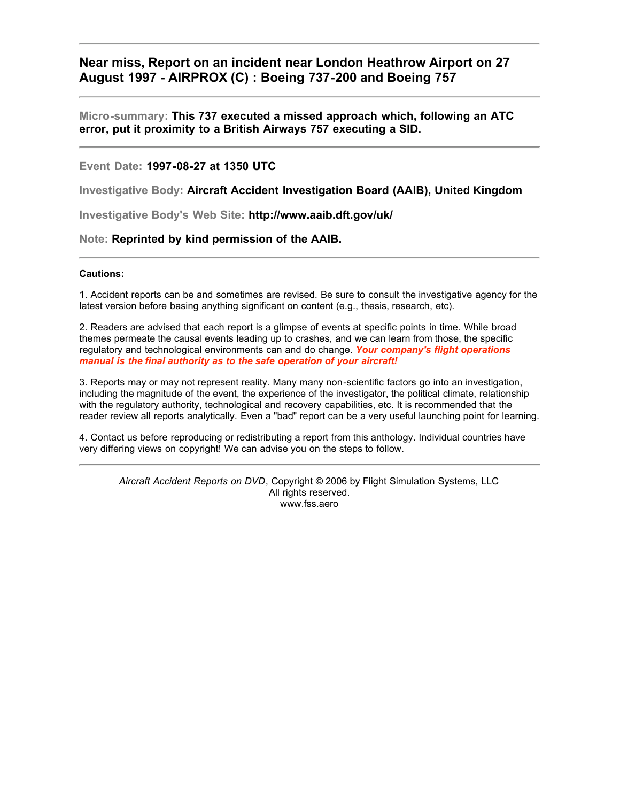# **Near miss, Report on an incident near London Heathrow Airport on 27 August 1997 - AIRPROX (C) : Boeing 737-200 and Boeing 757**

#### **Micro-summary: This 737 executed a missed approach which, following an ATC error, put it proximity to a British Airways 757 executing a SID.**

#### **Event Date: 1997-08-27 at 1350 UTC**

**Investigative Body: Aircraft Accident Investigation Board (AAIB), United Kingdom**

**Investigative Body's Web Site: http://www.aaib.dft.gov/uk/**

#### **Note: Reprinted by kind permission of the AAIB.**

#### **Cautions:**

1. Accident reports can be and sometimes are revised. Be sure to consult the investigative agency for the latest version before basing anything significant on content (e.g., thesis, research, etc).

2. Readers are advised that each report is a glimpse of events at specific points in time. While broad themes permeate the causal events leading up to crashes, and we can learn from those, the specific regulatory and technological environments can and do change. *Your company's flight operations manual is the final authority as to the safe operation of your aircraft!*

3. Reports may or may not represent reality. Many many non-scientific factors go into an investigation, including the magnitude of the event, the experience of the investigator, the political climate, relationship with the regulatory authority, technological and recovery capabilities, etc. It is recommended that the reader review all reports analytically. Even a "bad" report can be a very useful launching point for learning.

4. Contact us before reproducing or redistributing a report from this anthology. Individual countries have very differing views on copyright! We can advise you on the steps to follow.

*Aircraft Accident Reports on DVD*, Copyright © 2006 by Flight Simulation Systems, LLC All rights reserved. www.fss.aero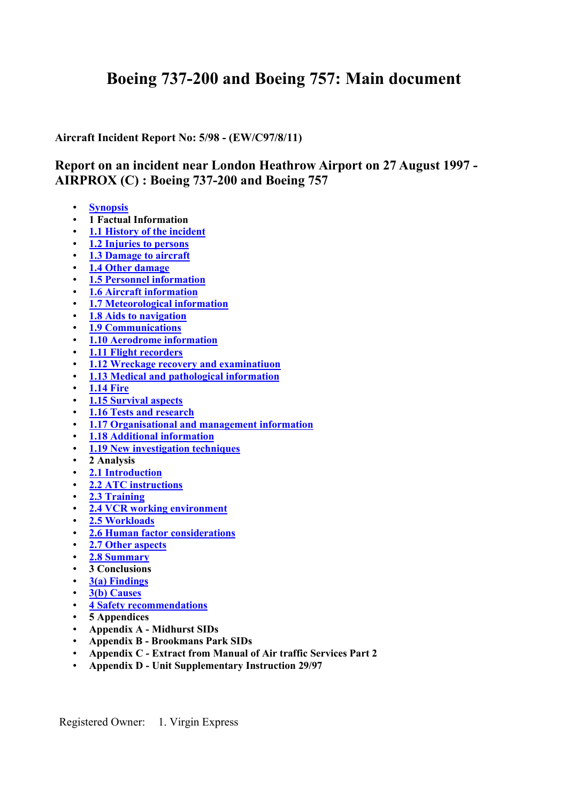# **Boeing 737-200 and Boeing 757: Main document**

**Aircraft Incident Report No: 5/98 - (EW/C97/8/11)**

# **Report on an incident near London Heathrow Airport on 27 August 1997 - AIRPROX (C) : Boeing 737-200 and Boeing 757**

- **[Synopsis](#page-2-0)**
- **1 Factual Information**
- [1.1 History of the incident](#page-3-0)
- **[1.2 Injuries to persons](#page-4-0)**
- **[1.3 Damage to aircraft](#page-4-0)**
- **[1.4 Other damage](#page-5-0)**
- **[1.5 Personnel information](#page-5-0)**
- **[1.6 Aircraft informatio](#page-6-0)n**
- **[1.7 Meteorological informatio](#page-6-0)n**
- **[1.8 Aids to navigation](#page-7-0)**
- **[1.9 Communications](#page-7-0)**
- **[1.10 Aerodrome informatio](#page-8-0)n**
- **[1.11 Flight recorders](#page-13-0)**
- **[1.12 Wreckage recovery and examinatiuo](#page-13-0)n**
- **[1.13 Medical and pathological informatio](#page-13-0)n**
- **[1.14 Fire](#page-13-0)**
- **[1.15 Survival aspects](#page-13-0)**
- **[1.16 Tests and research](#page-14-0)**
- **[1.17 Organisational and management informatio](#page-15-0)n**
- **[1.18 Additional informatio](#page-16-0)n**
- **[1.19 New investigation techniques](#page-19-0)**
- **2 Analysis**
- **[2.1 Introductio](#page-20-0)n**
- **[2.2 ATC instructions](#page-21-0)**
- **[2.3 Trainin](#page-21-0)g**
- **[2.4 VCR working environment](#page-23-0)**
- **[2.5 Workloads](#page-23-0)**
- **[2.6 Human factor considerations](#page-23-0)**
- **[2.7 Other aspects](#page-26-0)**
- **[2.8 Summary](#page-26-0)**
- **3 Conclusions**
- **[3\(a\) Findings](#page-28-0)**
- **[3\(b\) Causes](#page-28-0)**
- **[4 Safety recommendations](#page-28-0)**
- **5 Appendices**
- **Appendix A Midhurst SIDs**
- **Appendix B Brookmans Park SIDs**
- **Appendix C Extract from Manual of Air traffic Services Part 2**
- **Appendix D Unit Supplementary Instruction 29/97**

Registered Owner: 1. Virgin Express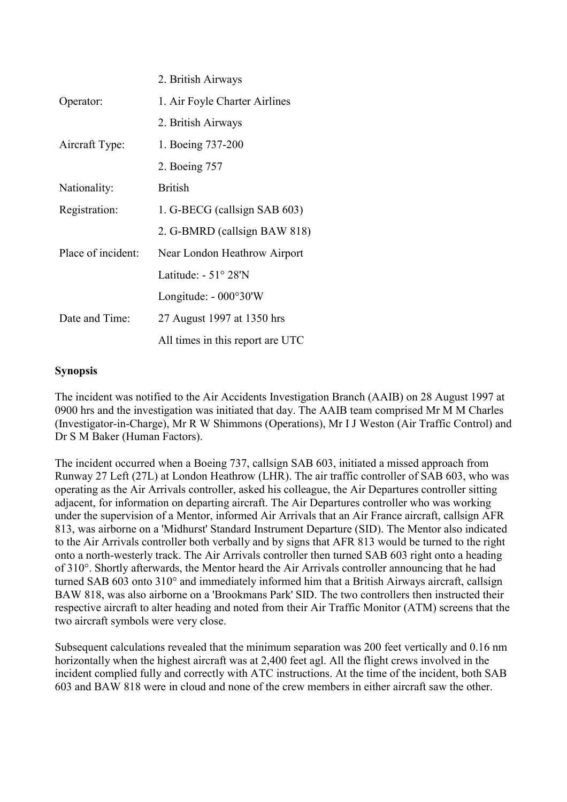<span id="page-2-0"></span>

|                    | 2. British Airways               |
|--------------------|----------------------------------|
| Operator:          | 1. Air Foyle Charter Airlines    |
|                    | 2. British Airways               |
| Aircraft Type:     | 1. Boeing 737-200                |
|                    | 2. Boeing 757                    |
| Nationality:       | <b>British</b>                   |
| Registration:      | 1. G-BECG (callsign SAB 603)     |
|                    | 2. G-BMRD (callsign BAW 818)     |
| Place of incident: | Near London Heathrow Airport     |
|                    | Latitude: $-51^{\circ} 28'N$     |
|                    | Longitude: - 000°30'W            |
| Date and Time:     | 27 August 1997 at 1350 hrs       |
|                    | All times in this report are UTC |

# **Synopsis**

The incident was notified to the Air Accidents Investigation Branch (AAIB) on 28 August 1997 at 0900 hrs and the investigation was initiated that day. The AAIB team comprised Mr M M Charles (Investigator-in-Charge), Mr R W Shimmons (Operations), Mr I J Weston (Air Traffic Control) and Dr S M Baker (Human Factors).

The incident occurred when a Boeing 737, callsign SAB 603, initiated a missed approach from Runway 27 Left (27L) at London Heathrow (LHR). The air traffic controller of SAB 603, who was operating as the Air Arrivals controller, asked his colleague, the Air Departures controller sitting adjacent, for information on departing aircraft. The Air Departures controller who was working under the supervision of a Mentor, informed Air Arrivals that an Air France aircraft, callsign AFR 813, was airborne on a 'Midhurst' Standard Instrument Departure (SID). The Mentor also indicated to the Air Arrivals controller both verbally and by signs that AFR 813 would be turned to the right onto a north-westerly track. The Air Arrivals controller then turned SAB 603 right onto a heading of 310°. Shortly afterwards, the Mentor heard the Air Arrivals controller announcing that he had turned SAB 603 onto 310° and immediately informed him that a British Airways aircraft, callsign BAW 818, was also airborne on a 'Brookmans Park' SID. The two controllers then instructed their respective aircraft to alter heading and noted from their Air Traffic Monitor (ATM) screens that the two aircraft symbols were very close.

Subsequent calculations revealed that the minimum separation was 200 feet vertically and 0.16 nm horizontally when the highest aircraft was at 2,400 feet agl. All the flight crews involved in the incident complied fully and correctly with ATC instructions. At the time of the incident, both SAB 603 and BAW 818 were in cloud and none of the crew members in either aircraft saw the other.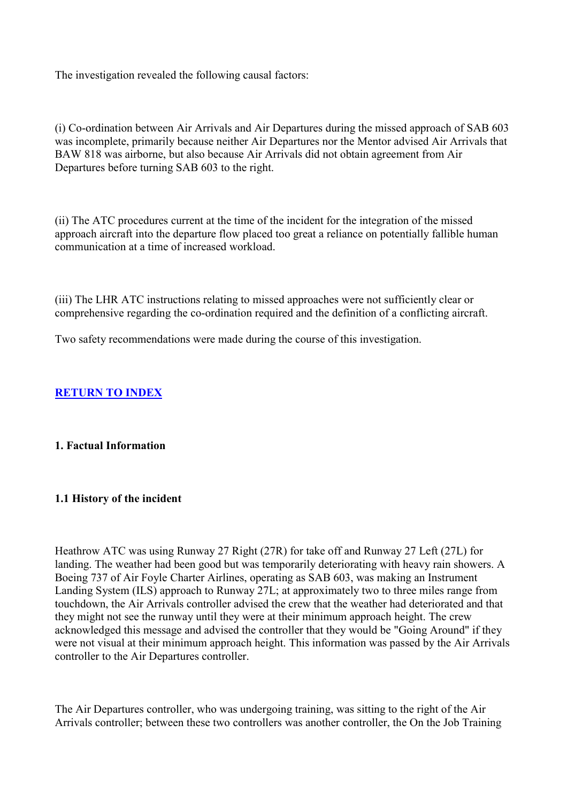<span id="page-3-0"></span>The investigation revealed the following causal factors:

(i) Co-ordination between Air Arrivals and Air Departures during the missed approach of SAB 603 was incomplete, primarily because neither Air Departures nor the Mentor advised Air Arrivals that BAW 818 was airborne, but also because Air Arrivals did not obtain agreement from Air Departures before turning SAB 603 to the right.

(ii) The ATC procedures current at the time of the incident for the integration of the missed approach aircraft into the departure flow placed too great a reliance on potentially fallible human communication at a time of increased workload.

(iii) The LHR ATC instructions relating to missed approaches were not sufficiently clear or comprehensive regarding the co-ordination required and the definition of a conflicting aircraft.

Two safety recommendations were made during the course of this investigation.

# **RETURN TO INDEX**

# **1. Factual Information**

# **1.1 History of the incident**

Heathrow ATC was using Runway 27 Right (27R) for take off and Runway 27 Left (27L) for landing. The weather had been good but was temporarily deteriorating with heavy rain showers. A Boeing 737 of Air Foyle Charter Airlines, operating as SAB 603, was making an Instrument Landing System (ILS) approach to Runway 27L; at approximately two to three miles range from touchdown, the Air Arrivals controller advised the crew that the weather had deteriorated and that they might not see the runway until they were at their minimum approach height. The crew acknowledged this message and advised the controller that they would be "Going Around" if they were not visual at their minimum approach height. This information was passed by the Air Arrivals controller to the Air Departures controller.

The Air Departures controller, who was undergoing training, was sitting to the right of the Air Arrivals controller; between these two controllers was another controller, the On the Job Training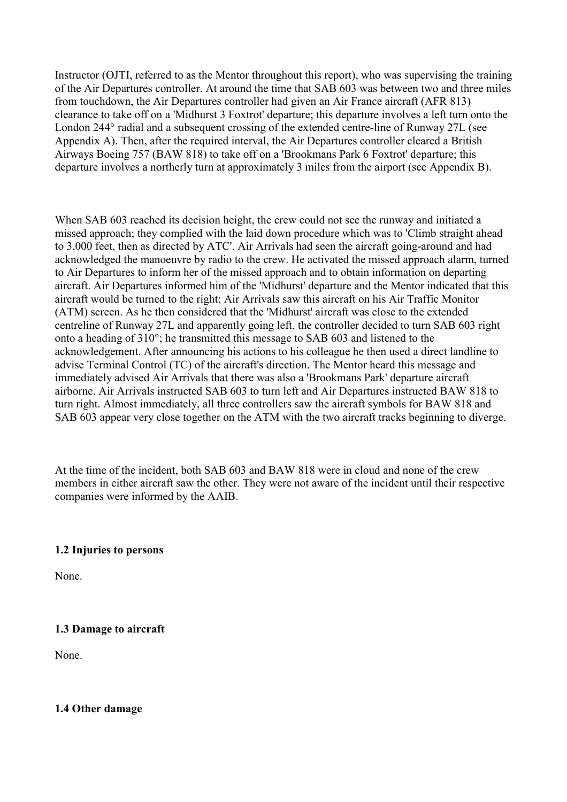<span id="page-4-0"></span>Instructor (OJTI, referred to as the Mentor throughout this report), who was supervising the training of the Air Departures controller. At around the time that SAB 603 was between two and three miles from touchdown, the Air Departures controller had given an Air France aircraft (AFR 813) clearance to take off on a 'Midhurst 3 Foxtrot' departure; this departure involves a left turn onto the London 244° radial and a subsequent crossing of the extended centre-line of Runway 27L (see Appendix A). Then, after the required interval, the Air Departures controller cleared a British Airways Boeing 757 (BAW 818) to take off on a 'Brookmans Park 6 Foxtrot' departure; this departure involves a northerly turn at approximately 3 miles from the airport (see Appendix B).

When SAB 603 reached its decision height, the crew could not see the runway and initiated a missed approach; they complied with the laid down procedure which was to 'Climb straight ahead to 3,000 feet, then as directed by ATC'. Air Arrivals had seen the aircraft going-around and had acknowledged the manoeuvre by radio to the crew. He activated the missed approach alarm, turned to Air Departures to inform her of the missed approach and to obtain information on departing aircraft. Air Departures informed him of the 'Midhurst' departure and the Mentor indicated that this aircraft would be turned to the right; Air Arrivals saw this aircraft on his Air Traffic Monitor (ATM) screen. As he then considered that the 'Midhurst' aircraft was close to the extended centreline of Runway 27L and apparently going left, the controller decided to turn SAB 603 right onto a heading of 310°; he transmitted this message to SAB 603 and listened to the acknowledgement. After announcing his actions to his colleague he then used a direct landline to advise Terminal Control (TC) of the aircraft's direction. The Mentor heard this message and immediately advised Air Arrivals that there was also a 'Brookmans Park' departure aircraft airborne. Air Arrivals instructed SAB 603 to turn left and Air Departures instructed BAW 818 to turn right. Almost immediately, all three controllers saw the aircraft symbols for BAW 818 and SAB 603 appear very close together on the ATM with the two aircraft tracks beginning to diverge.

At the time of the incident, both SAB 603 and BAW 818 were in cloud and none of the crew members in either aircraft saw the other. They were not aware of the incident until their respective companies were informed by the AAIB.

#### **1.2 Injuries to persons**

None.

#### **1.3 Damage to aircraft**

None.

#### **1.4 Other damage**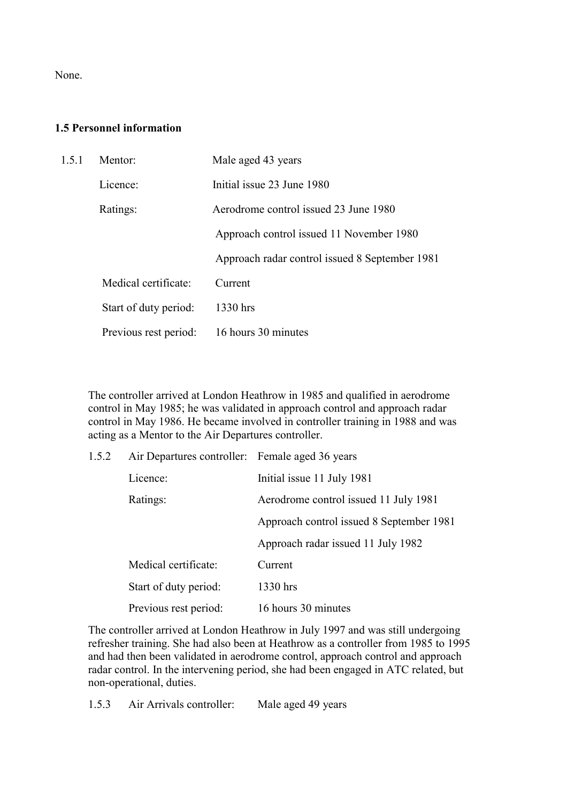<span id="page-5-0"></span>None.

# **1.5 Personnel information**

| 1.5.1 | Mentor:               | Male aged 43 years                             |
|-------|-----------------------|------------------------------------------------|
|       | Licence:              | Initial issue 23 June 1980                     |
|       | Ratings:              | Aerodrome control issued 23 June 1980          |
|       |                       | Approach control issued 11 November 1980       |
|       |                       | Approach radar control issued 8 September 1981 |
|       | Medical certificate:  | Current                                        |
|       | Start of duty period: | 1330 hrs                                       |
|       | Previous rest period: | 16 hours 30 minutes                            |

The controller arrived at London Heathrow in 1985 and qualified in aerodrome control in May 1985; he was validated in approach control and approach radar control in May 1986. He became involved in controller training in 1988 and was acting as a Mentor to the Air Departures controller.

| 1.5.2 | Air Departures controller: Female aged 36 years |                                          |
|-------|-------------------------------------------------|------------------------------------------|
|       | Licence:                                        | Initial issue 11 July 1981               |
|       | Ratings:                                        | Aerodrome control issued 11 July 1981    |
|       |                                                 | Approach control issued 8 September 1981 |
|       |                                                 | Approach radar issued 11 July 1982       |
|       | Medical certificate:                            | Current                                  |
|       | Start of duty period:                           | 1330 hrs                                 |
|       | Previous rest period:                           | 16 hours 30 minutes                      |

The controller arrived at London Heathrow in July 1997 and was still undergoing refresher training. She had also been at Heathrow as a controller from 1985 to 1995 and had then been validated in aerodrome control, approach control and approach radar control. In the intervening period, she had been engaged in ATC related, but non-operational, duties.

1.5.3 Air Arrivals controller: Male aged 49 years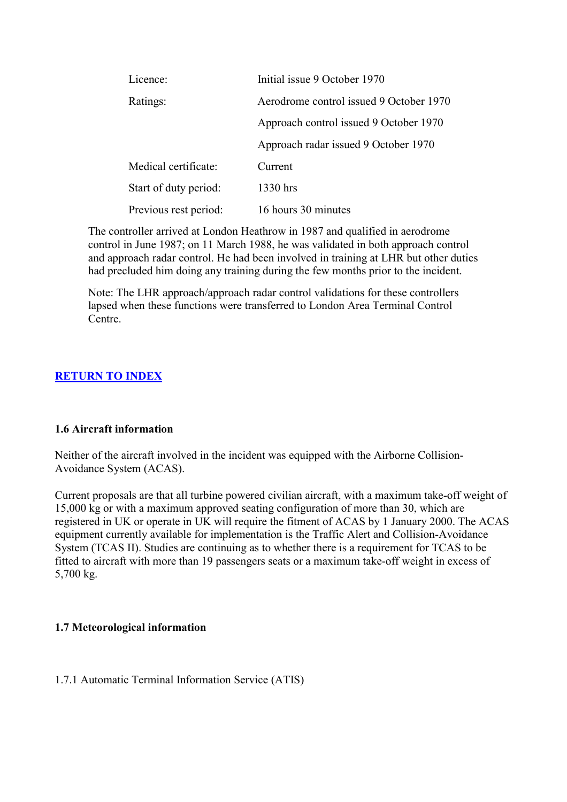<span id="page-6-0"></span>

| Licence:              | Initial issue 9 October 1970            |
|-----------------------|-----------------------------------------|
| Ratings:              | Aerodrome control issued 9 October 1970 |
|                       | Approach control issued 9 October 1970  |
|                       | Approach radar issued 9 October 1970    |
| Medical certificate:  | Current                                 |
| Start of duty period: | 1330 hrs                                |
| Previous rest period: | 16 hours 30 minutes                     |

The controller arrived at London Heathrow in 1987 and qualified in aerodrome control in June 1987; on 11 March 1988, he was validated in both approach control and approach radar control. He had been involved in training at LHR but other duties had precluded him doing any training during the few months prior to the incident.

Note: The LHR approach/approach radar control validations for these controllers lapsed when these functions were transferred to London Area Terminal Control Centre.

# **RETURN TO INDEX**

# **1.6 Aircraft information**

Neither of the aircraft involved in the incident was equipped with the Airborne Collision-Avoidance System (ACAS).

Current proposals are that all turbine powered civilian aircraft, with a maximum take-off weight of 15,000 kg or with a maximum approved seating configuration of more than 30, which are registered in UK or operate in UK will require the fitment of ACAS by 1 January 2000. The ACAS equipment currently available for implementation is the Traffic Alert and Collision-Avoidance System (TCAS II). Studies are continuing as to whether there is a requirement for TCAS to be fitted to aircraft with more than 19 passengers seats or a maximum take-off weight in excess of 5,700 kg.

# **1.7 Meteorological information**

# 1.7.1 Automatic Terminal Information Service (ATIS)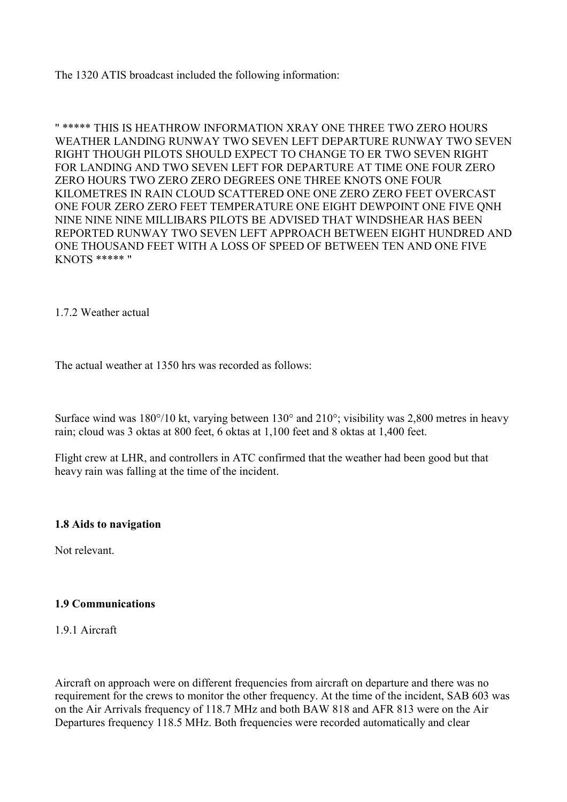<span id="page-7-0"></span>The 1320 ATIS broadcast included the following information:

" \*\*\*\*\* THIS IS HEATHROW INFORMATION XRAY ONE THREE TWO ZERO HOURS WEATHER LANDING RUNWAY TWO SEVEN LEFT DEPARTURE RUNWAY TWO SEVEN RIGHT THOUGH PILOTS SHOULD EXPECT TO CHANGE TO ER TWO SEVEN RIGHT FOR LANDING AND TWO SEVEN LEFT FOR DEPARTURE AT TIME ONE FOUR ZERO ZERO HOURS TWO ZERO ZERO DEGREES ONE THREE KNOTS ONE FOUR KILOMETRES IN RAIN CLOUD SCATTERED ONE ONE ZERO ZERO FEET OVERCAST ONE FOUR ZERO ZERO FEET TEMPERATURE ONE EIGHT DEWPOINT ONE FIVE QNH NINE NINE NINE MILLIBARS PILOTS BE ADVISED THAT WINDSHEAR HAS BEEN REPORTED RUNWAY TWO SEVEN LEFT APPROACH BETWEEN EIGHT HUNDRED AND ONE THOUSAND FEET WITH A LOSS OF SPEED OF BETWEEN TEN AND ONE FIVE KNOTS \*\*\*\*\* "

1.7.2 Weather actual

The actual weather at 1350 hrs was recorded as follows:

Surface wind was 180°/10 kt, varying between 130° and 210°; visibility was 2,800 metres in heavy rain; cloud was 3 oktas at 800 feet, 6 oktas at 1,100 feet and 8 oktas at 1,400 feet.

Flight crew at LHR, and controllers in ATC confirmed that the weather had been good but that heavy rain was falling at the time of the incident.

#### **1.8 Aids to navigation**

Not relevant.

#### **1.9 Communications**

1.9.1 Aircraft

Aircraft on approach were on different frequencies from aircraft on departure and there was no requirement for the crews to monitor the other frequency. At the time of the incident, SAB 603 was on the Air Arrivals frequency of 118.7 MHz and both BAW 818 and AFR 813 were on the Air Departures frequency 118.5 MHz. Both frequencies were recorded automatically and clear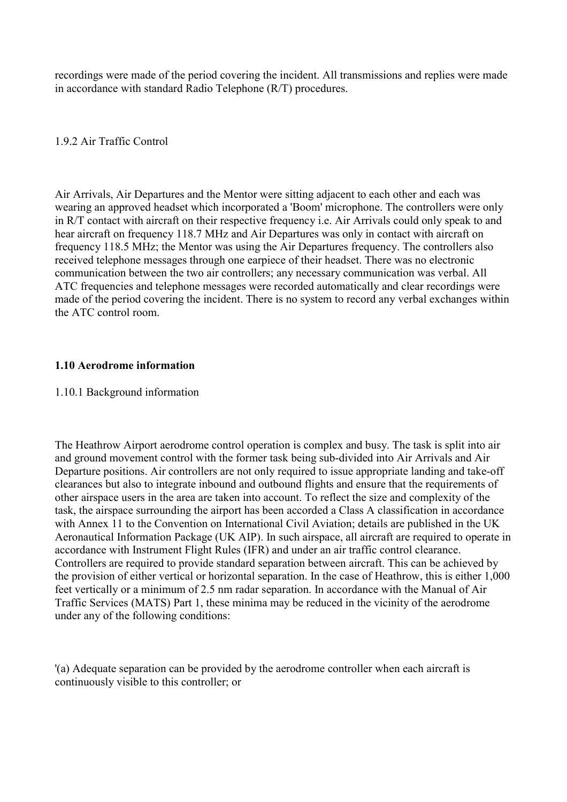<span id="page-8-0"></span>recordings were made of the period covering the incident. All transmissions and replies were made in accordance with standard Radio Telephone (R/T) procedures.

1.9.2 Air Traffic Control

Air Arrivals, Air Departures and the Mentor were sitting adjacent to each other and each was wearing an approved headset which incorporated a 'Boom' microphone. The controllers were only in R/T contact with aircraft on their respective frequency i.e. Air Arrivals could only speak to and hear aircraft on frequency 118.7 MHz and Air Departures was only in contact with aircraft on frequency 118.5 MHz; the Mentor was using the Air Departures frequency. The controllers also received telephone messages through one earpiece of their headset. There was no electronic communication between the two air controllers; any necessary communication was verbal. All ATC frequencies and telephone messages were recorded automatically and clear recordings were made of the period covering the incident. There is no system to record any verbal exchanges within the ATC control room.

## **1.10 Aerodrome information**

#### 1.10.1 Background information

The Heathrow Airport aerodrome control operation is complex and busy. The task is split into air and ground movement control with the former task being sub-divided into Air Arrivals and Air Departure positions. Air controllers are not only required to issue appropriate landing and take-off clearances but also to integrate inbound and outbound flights and ensure that the requirements of other airspace users in the area are taken into account. To reflect the size and complexity of the task, the airspace surrounding the airport has been accorded a Class A classification in accordance with Annex 11 to the Convention on International Civil Aviation; details are published in the UK Aeronautical Information Package (UK AIP). In such airspace, all aircraft are required to operate in accordance with Instrument Flight Rules (IFR) and under an air traffic control clearance. Controllers are required to provide standard separation between aircraft. This can be achieved by the provision of either vertical or horizontal separation. In the case of Heathrow, this is either 1,000 feet vertically or a minimum of 2.5 nm radar separation. In accordance with the Manual of Air Traffic Services (MATS) Part 1, these minima may be reduced in the vicinity of the aerodrome under any of the following conditions:

'(a) Adequate separation can be provided by the aerodrome controller when each aircraft is continuously visible to this controller; or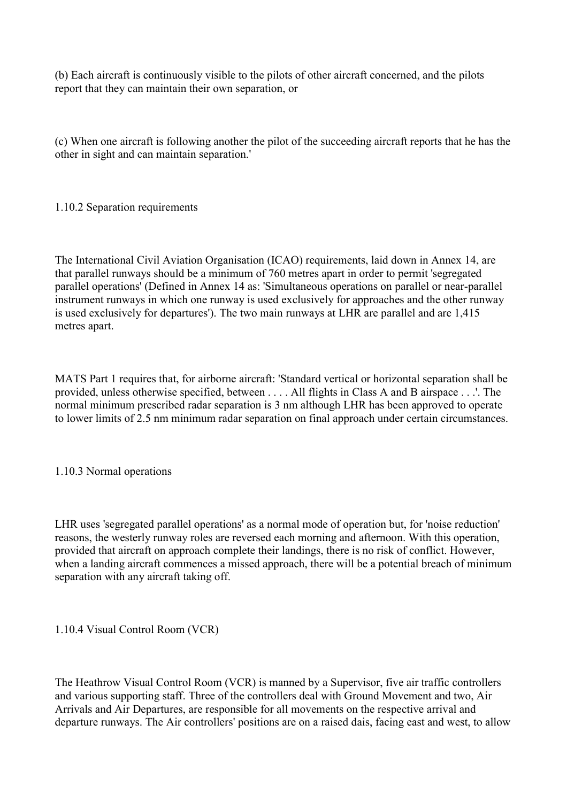(b) Each aircraft is continuously visible to the pilots of other aircraft concerned, and the pilots report that they can maintain their own separation, or

(c) When one aircraft is following another the pilot of the succeeding aircraft reports that he has the other in sight and can maintain separation.'

1.10.2 Separation requirements

The International Civil Aviation Organisation (ICAO) requirements, laid down in Annex 14, are that parallel runways should be a minimum of 760 metres apart in order to permit 'segregated parallel operations' (Defined in Annex 14 as: 'Simultaneous operations on parallel or near-parallel instrument runways in which one runway is used exclusively for approaches and the other runway is used exclusively for departures'). The two main runways at LHR are parallel and are 1,415 metres apart.

MATS Part 1 requires that, for airborne aircraft: 'Standard vertical or horizontal separation shall be provided, unless otherwise specified, between . . . . All flights in Class A and B airspace . . .'. The normal minimum prescribed radar separation is 3 nm although LHR has been approved to operate to lower limits of 2.5 nm minimum radar separation on final approach under certain circumstances.

1.10.3 Normal operations

LHR uses 'segregated parallel operations' as a normal mode of operation but, for 'noise reduction' reasons, the westerly runway roles are reversed each morning and afternoon. With this operation, provided that aircraft on approach complete their landings, there is no risk of conflict. However, when a landing aircraft commences a missed approach, there will be a potential breach of minimum separation with any aircraft taking off.

1.10.4 Visual Control Room (VCR)

The Heathrow Visual Control Room (VCR) is manned by a Supervisor, five air traffic controllers and various supporting staff. Three of the controllers deal with Ground Movement and two, Air Arrivals and Air Departures, are responsible for all movements on the respective arrival and departure runways. The Air controllers' positions are on a raised dais, facing east and west, to allow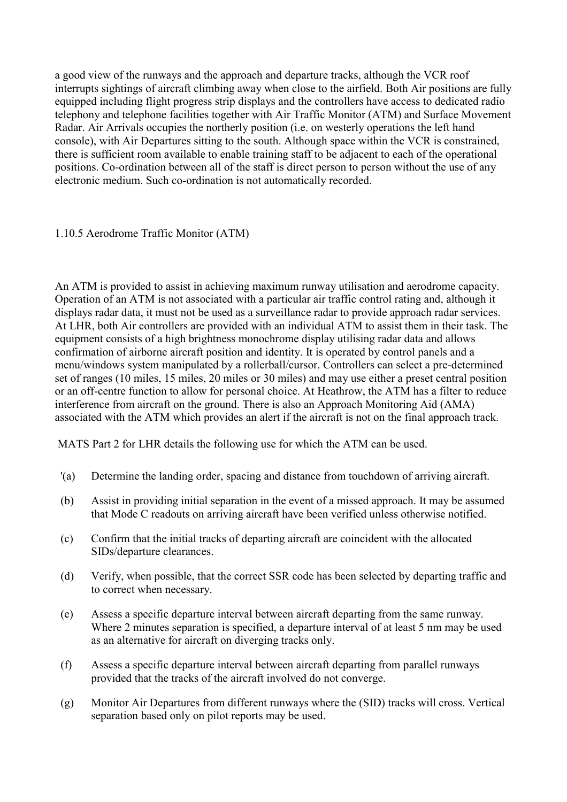a good view of the runways and the approach and departure tracks, although the VCR roof interrupts sightings of aircraft climbing away when close to the airfield. Both Air positions are fully equipped including flight progress strip displays and the controllers have access to dedicated radio telephony and telephone facilities together with Air Traffic Monitor (ATM) and Surface Movement Radar. Air Arrivals occupies the northerly position (i.e. on westerly operations the left hand console), with Air Departures sitting to the south. Although space within the VCR is constrained, there is sufficient room available to enable training staff to be adjacent to each of the operational positions. Co-ordination between all of the staff is direct person to person without the use of any electronic medium. Such co-ordination is not automatically recorded.

1.10.5 Aerodrome Traffic Monitor (ATM)

An ATM is provided to assist in achieving maximum runway utilisation and aerodrome capacity. Operation of an ATM is not associated with a particular air traffic control rating and, although it displays radar data, it must not be used as a surveillance radar to provide approach radar services. At LHR, both Air controllers are provided with an individual ATM to assist them in their task. The equipment consists of a high brightness monochrome display utilising radar data and allows confirmation of airborne aircraft position and identity. It is operated by control panels and a menu/windows system manipulated by a rollerball/cursor. Controllers can select a pre-determined set of ranges (10 miles, 15 miles, 20 miles or 30 miles) and may use either a preset central position or an off-centre function to allow for personal choice. At Heathrow, the ATM has a filter to reduce interference from aircraft on the ground. There is also an Approach Monitoring Aid (AMA) associated with the ATM which provides an alert if the aircraft is not on the final approach track.

MATS Part 2 for LHR details the following use for which the ATM can be used.

- '(a) Determine the landing order, spacing and distance from touchdown of arriving aircraft.
- (b) Assist in providing initial separation in the event of a missed approach. It may be assumed that Mode C readouts on arriving aircraft have been verified unless otherwise notified.
- (c) Confirm that the initial tracks of departing aircraft are coincident with the allocated SIDs/departure clearances.
- (d) Verify, when possible, that the correct SSR code has been selected by departing traffic and to correct when necessary.
- (e) Assess a specific departure interval between aircraft departing from the same runway. Where 2 minutes separation is specified, a departure interval of at least 5 nm may be used as an alternative for aircraft on diverging tracks only.
- (f) Assess a specific departure interval between aircraft departing from parallel runways provided that the tracks of the aircraft involved do not converge.
- (g) Monitor Air Departures from different runways where the (SID) tracks will cross. Vertical separation based only on pilot reports may be used.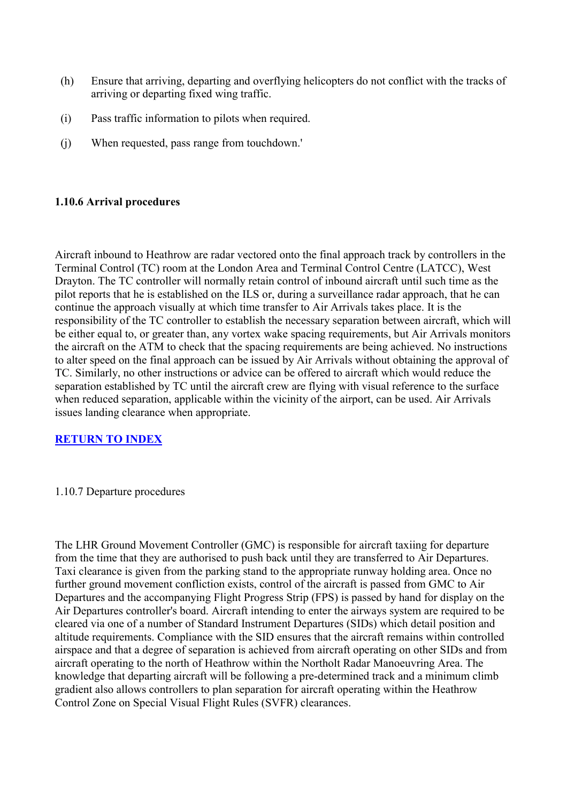- (h) Ensure that arriving, departing and overflying helicopters do not conflict with the tracks of arriving or departing fixed wing traffic.
- (i) Pass traffic information to pilots when required.
- (j) When requested, pass range from touchdown.'

# **1.10.6 Arrival procedures**

Aircraft inbound to Heathrow are radar vectored onto the final approach track by controllers in the Terminal Control (TC) room at the London Area and Terminal Control Centre (LATCC), West Drayton. The TC controller will normally retain control of inbound aircraft until such time as the pilot reports that he is established on the ILS or, during a surveillance radar approach, that he can continue the approach visually at which time transfer to Air Arrivals takes place. It is the responsibility of the TC controller to establish the necessary separation between aircraft, which will be either equal to, or greater than, any vortex wake spacing requirements, but Air Arrivals monitors the aircraft on the ATM to check that the spacing requirements are being achieved. No instructions to alter speed on the final approach can be issued by Air Arrivals without obtaining the approval of TC. Similarly, no other instructions or advice can be offered to aircraft which would reduce the separation established by TC until the aircraft crew are flying with visual reference to the surface when reduced separation, applicable within the vicinity of the airport, can be used. Air Arrivals issues landing clearance when appropriate.

# **RETURN TO INDEX**

# 1.10.7 Departure procedures

The LHR Ground Movement Controller (GMC) is responsible for aircraft taxiing for departure from the time that they are authorised to push back until they are transferred to Air Departures. Taxi clearance is given from the parking stand to the appropriate runway holding area. Once no further ground movement confliction exists, control of the aircraft is passed from GMC to Air Departures and the accompanying Flight Progress Strip (FPS) is passed by hand for display on the Air Departures controller's board. Aircraft intending to enter the airways system are required to be cleared via one of a number of Standard Instrument Departures (SIDs) which detail position and altitude requirements. Compliance with the SID ensures that the aircraft remains within controlled airspace and that a degree of separation is achieved from aircraft operating on other SIDs and from aircraft operating to the north of Heathrow within the Northolt Radar Manoeuvring Area. The knowledge that departing aircraft will be following a pre-determined track and a minimum climb gradient also allows controllers to plan separation for aircraft operating within the Heathrow Control Zone on Special Visual Flight Rules (SVFR) clearances.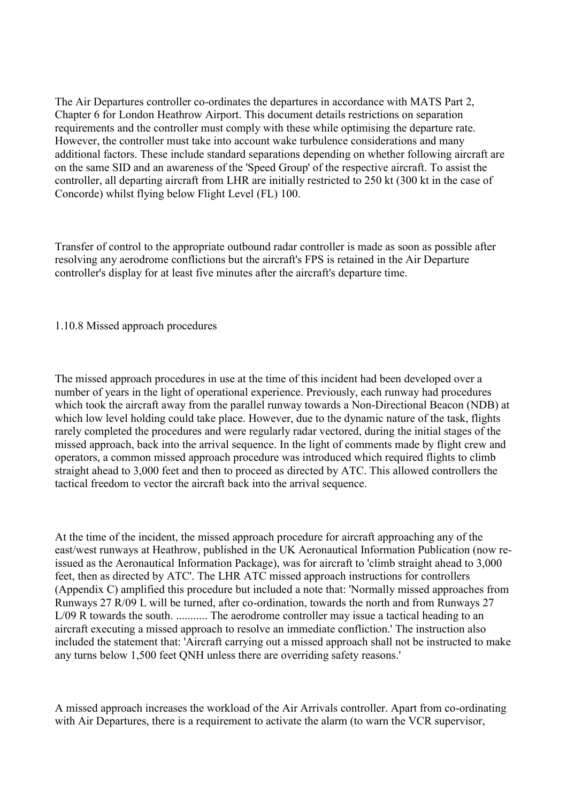The Air Departures controller co-ordinates the departures in accordance with MATS Part 2, Chapter 6 for London Heathrow Airport. This document details restrictions on separation requirements and the controller must comply with these while optimising the departure rate. However, the controller must take into account wake turbulence considerations and many additional factors. These include standard separations depending on whether following aircraft are on the same SID and an awareness of the 'Speed Group' of the respective aircraft. To assist the controller, all departing aircraft from LHR are initially restricted to 250 kt (300 kt in the case of Concorde) whilst flying below Flight Level (FL) 100.

Transfer of control to the appropriate outbound radar controller is made as soon as possible after resolving any aerodrome conflictions but the aircraft's FPS is retained in the Air Departure controller's display for at least five minutes after the aircraft's departure time.

#### 1.10.8 Missed approach procedures

The missed approach procedures in use at the time of this incident had been developed over a number of years in the light of operational experience. Previously, each runway had procedures which took the aircraft away from the parallel runway towards a Non-Directional Beacon (NDB) at which low level holding could take place. However, due to the dynamic nature of the task, flights rarely completed the procedures and were regularly radar vectored, during the initial stages of the missed approach, back into the arrival sequence. In the light of comments made by flight crew and operators, a common missed approach procedure was introduced which required flights to climb straight ahead to 3,000 feet and then to proceed as directed by ATC. This allowed controllers the tactical freedom to vector the aircraft back into the arrival sequence.

At the time of the incident, the missed approach procedure for aircraft approaching any of the east/west runways at Heathrow, published in the UK Aeronautical Information Publication (now reissued as the Aeronautical Information Package), was for aircraft to 'climb straight ahead to 3,000 feet, then as directed by ATC'. The LHR ATC missed approach instructions for controllers (Appendix C) amplified this procedure but included a note that: 'Normally missed approaches from Runways 27 R/09 L will be turned, after co-ordination, towards the north and from Runways 27 L/09 R towards the south. ........... The aerodrome controller may issue a tactical heading to an aircraft executing a missed approach to resolve an immediate confliction.' The instruction also included the statement that: 'Aircraft carrying out a missed approach shall not be instructed to make any turns below 1,500 feet QNH unless there are overriding safety reasons.'

A missed approach increases the workload of the Air Arrivals controller. Apart from co-ordinating with Air Departures, there is a requirement to activate the alarm (to warn the VCR supervisor,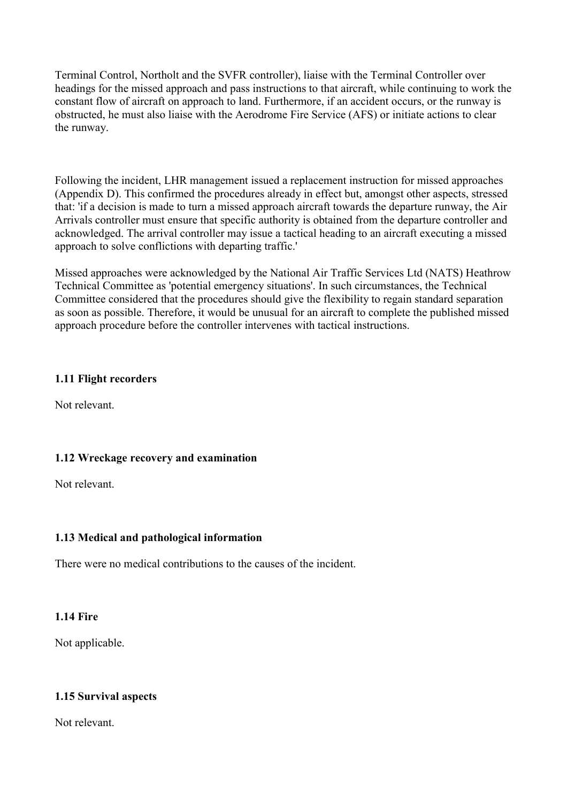<span id="page-13-0"></span>Terminal Control, Northolt and the SVFR controller), liaise with the Terminal Controller over headings for the missed approach and pass instructions to that aircraft, while continuing to work the constant flow of aircraft on approach to land. Furthermore, if an accident occurs, or the runway is obstructed, he must also liaise with the Aerodrome Fire Service (AFS) or initiate actions to clear the runway.

Following the incident, LHR management issued a replacement instruction for missed approaches (Appendix D). This confirmed the procedures already in effect but, amongst other aspects, stressed that: 'if a decision is made to turn a missed approach aircraft towards the departure runway, the Air Arrivals controller must ensure that specific authority is obtained from the departure controller and acknowledged. The arrival controller may issue a tactical heading to an aircraft executing a missed approach to solve conflictions with departing traffic.'

Missed approaches were acknowledged by the National Air Traffic Services Ltd (NATS) Heathrow Technical Committee as 'potential emergency situations'. In such circumstances, the Technical Committee considered that the procedures should give the flexibility to regain standard separation as soon as possible. Therefore, it would be unusual for an aircraft to complete the published missed approach procedure before the controller intervenes with tactical instructions.

# **1.11 Flight recorders**

Not relevant.

# **1.12 Wreckage recovery and examination**

Not relevant.

# **1.13 Medical and pathological information**

There were no medical contributions to the causes of the incident.

# **1.14 Fire**

Not applicable.

# **1.15 Survival aspects**

Not relevant.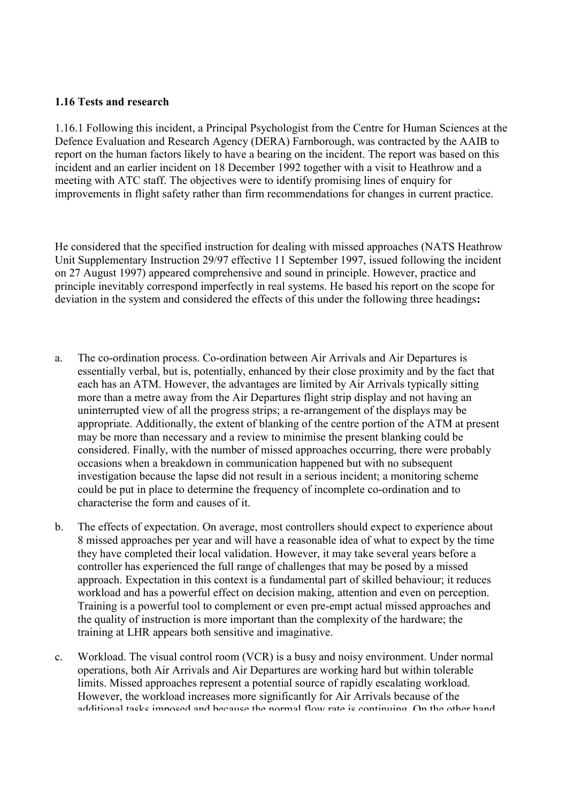### <span id="page-14-0"></span>**1.16 Tests and research**

1.16.1 Following this incident, a Principal Psychologist from the Centre for Human Sciences at the Defence Evaluation and Research Agency (DERA) Farnborough, was contracted by the AAIB to report on the human factors likely to have a bearing on the incident. The report was based on this incident and an earlier incident on 18 December 1992 together with a visit to Heathrow and a meeting with ATC staff. The objectives were to identify promising lines of enquiry for improvements in flight safety rather than firm recommendations for changes in current practice.

He considered that the specified instruction for dealing with missed approaches (NATS Heathrow Unit Supplementary Instruction 29/97 effective 11 September 1997, issued following the incident on 27 August 1997) appeared comprehensive and sound in principle. However, practice and principle inevitably correspond imperfectly in real systems. He based his report on the scope for deviation in the system and considered the effects of this under the following three headings**:** 

- a. The co-ordination process. Co-ordination between Air Arrivals and Air Departures is essentially verbal, but is, potentially, enhanced by their close proximity and by the fact that each has an ATM. However, the advantages are limited by Air Arrivals typically sitting more than a metre away from the Air Departures flight strip display and not having an uninterrupted view of all the progress strips; a re-arrangement of the displays may be appropriate. Additionally, the extent of blanking of the centre portion of the ATM at present may be more than necessary and a review to minimise the present blanking could be considered. Finally, with the number of missed approaches occurring, there were probably occasions when a breakdown in communication happened but with no subsequent investigation because the lapse did not result in a serious incident; a monitoring scheme could be put in place to determine the frequency of incomplete co-ordination and to characterise the form and causes of it.
- b. The effects of expectation. On average, most controllers should expect to experience about 8 missed approaches per year and will have a reasonable idea of what to expect by the time they have completed their local validation. However, it may take several years before a controller has experienced the full range of challenges that may be posed by a missed approach. Expectation in this context is a fundamental part of skilled behaviour; it reduces workload and has a powerful effect on decision making, attention and even on perception. Training is a powerful tool to complement or even pre-empt actual missed approaches and the quality of instruction is more important than the complexity of the hardware; the training at LHR appears both sensitive and imaginative.
- c. Workload. The visual control room (VCR) is a busy and noisy environment. Under normal operations, both Air Arrivals and Air Departures are working hard but within tolerable limits. Missed approaches represent a potential source of rapidly escalating workload. However, the workload increases more significantly for Air Arrivals because of the additional tasks imposed and because the normal flow rate is continuing On the other hand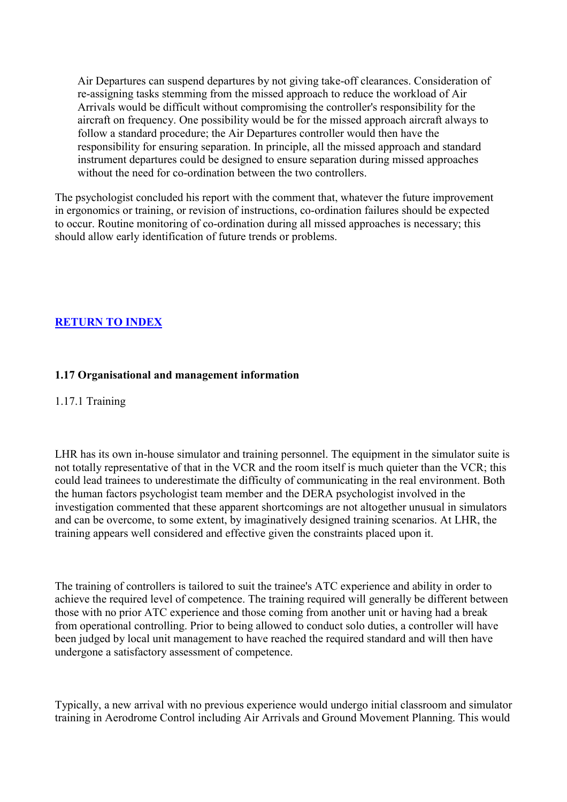<span id="page-15-0"></span>Air Departures can suspend departures by not giving take-off clearances. Consideration of re-assigning tasks stemming from the missed approach to reduce the workload of Air Arrivals would be difficult without compromising the controller's responsibility for the aircraft on frequency. One possibility would be for the missed approach aircraft always to follow a standard procedure; the Air Departures controller would then have the responsibility for ensuring separation. In principle, all the missed approach and standard instrument departures could be designed to ensure separation during missed approaches without the need for co-ordination between the two controllers.

The psychologist concluded his report with the comment that, whatever the future improvement in ergonomics or training, or revision of instructions, co-ordination failures should be expected to occur. Routine monitoring of co-ordination during all missed approaches is necessary; this should allow early identification of future trends or problems.

# **RETURN TO INDEX**

# **1.17 Organisational and management information**

### 1.17.1 Training

LHR has its own in-house simulator and training personnel. The equipment in the simulator suite is not totally representative of that in the VCR and the room itself is much quieter than the VCR; this could lead trainees to underestimate the difficulty of communicating in the real environment. Both the human factors psychologist team member and the DERA psychologist involved in the investigation commented that these apparent shortcomings are not altogether unusual in simulators and can be overcome, to some extent, by imaginatively designed training scenarios. At LHR, the training appears well considered and effective given the constraints placed upon it.

The training of controllers is tailored to suit the trainee's ATC experience and ability in order to achieve the required level of competence. The training required will generally be different between those with no prior ATC experience and those coming from another unit or having had a break from operational controlling. Prior to being allowed to conduct solo duties, a controller will have been judged by local unit management to have reached the required standard and will then have undergone a satisfactory assessment of competence.

Typically, a new arrival with no previous experience would undergo initial classroom and simulator training in Aerodrome Control including Air Arrivals and Ground Movement Planning. This would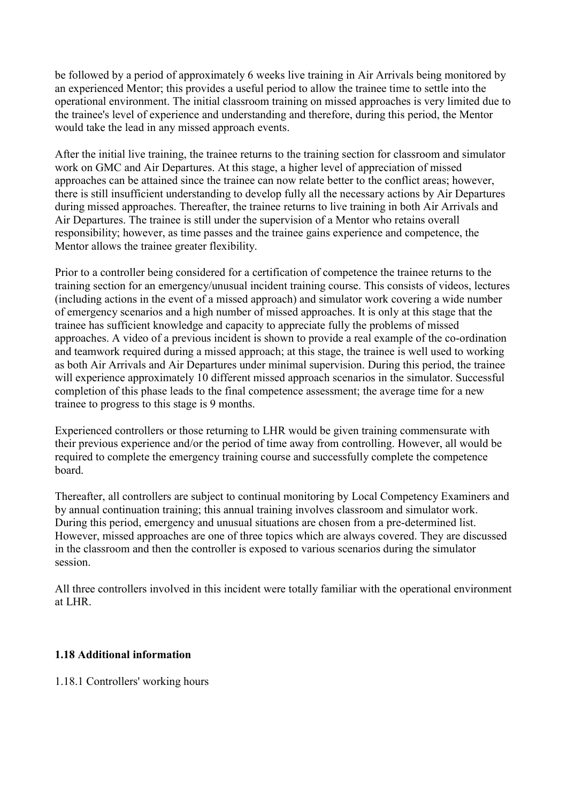<span id="page-16-0"></span>be followed by a period of approximately 6 weeks live training in Air Arrivals being monitored by an experienced Mentor; this provides a useful period to allow the trainee time to settle into the operational environment. The initial classroom training on missed approaches is very limited due to the trainee's level of experience and understanding and therefore, during this period, the Mentor would take the lead in any missed approach events.

After the initial live training, the trainee returns to the training section for classroom and simulator work on GMC and Air Departures. At this stage, a higher level of appreciation of missed approaches can be attained since the trainee can now relate better to the conflict areas; however, there is still insufficient understanding to develop fully all the necessary actions by Air Departures during missed approaches. Thereafter, the trainee returns to live training in both Air Arrivals and Air Departures. The trainee is still under the supervision of a Mentor who retains overall responsibility; however, as time passes and the trainee gains experience and competence, the Mentor allows the trainee greater flexibility.

Prior to a controller being considered for a certification of competence the trainee returns to the training section for an emergency/unusual incident training course. This consists of videos, lectures (including actions in the event of a missed approach) and simulator work covering a wide number of emergency scenarios and a high number of missed approaches. It is only at this stage that the trainee has sufficient knowledge and capacity to appreciate fully the problems of missed approaches. A video of a previous incident is shown to provide a real example of the co-ordination and teamwork required during a missed approach; at this stage, the trainee is well used to working as both Air Arrivals and Air Departures under minimal supervision. During this period, the trainee will experience approximately 10 different missed approach scenarios in the simulator. Successful completion of this phase leads to the final competence assessment; the average time for a new trainee to progress to this stage is 9 months.

Experienced controllers or those returning to LHR would be given training commensurate with their previous experience and/or the period of time away from controlling. However, all would be required to complete the emergency training course and successfully complete the competence board.

Thereafter, all controllers are subject to continual monitoring by Local Competency Examiners and by annual continuation training; this annual training involves classroom and simulator work. During this period, emergency and unusual situations are chosen from a pre-determined list. However, missed approaches are one of three topics which are always covered. They are discussed in the classroom and then the controller is exposed to various scenarios during the simulator session.

All three controllers involved in this incident were totally familiar with the operational environment at LHR.

# **1.18 Additional information**

1.18.1 Controllers' working hours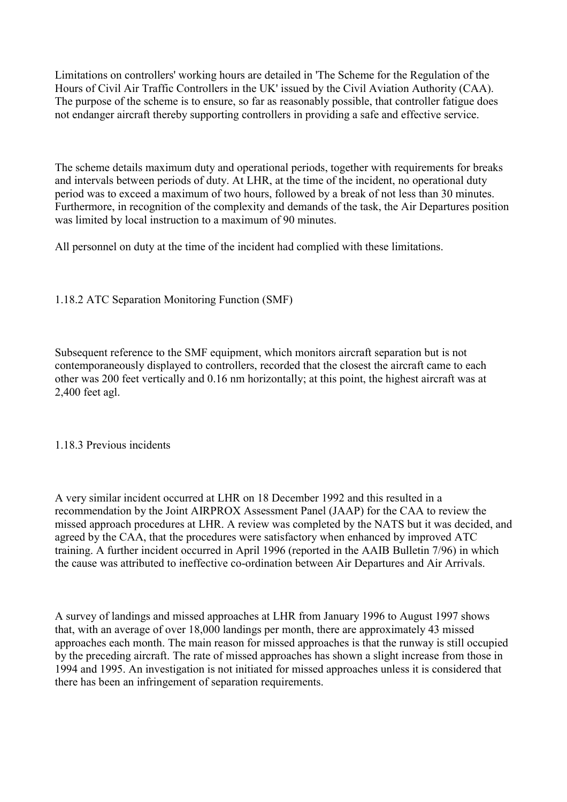Limitations on controllers' working hours are detailed in 'The Scheme for the Regulation of the Hours of Civil Air Traffic Controllers in the UK' issued by the Civil Aviation Authority (CAA). The purpose of the scheme is to ensure, so far as reasonably possible, that controller fatigue does not endanger aircraft thereby supporting controllers in providing a safe and effective service.

The scheme details maximum duty and operational periods, together with requirements for breaks and intervals between periods of duty. At LHR, at the time of the incident, no operational duty period was to exceed a maximum of two hours, followed by a break of not less than 30 minutes. Furthermore, in recognition of the complexity and demands of the task, the Air Departures position was limited by local instruction to a maximum of 90 minutes.

All personnel on duty at the time of the incident had complied with these limitations.

# 1.18.2 ATC Separation Monitoring Function (SMF)

Subsequent reference to the SMF equipment, which monitors aircraft separation but is not contemporaneously displayed to controllers, recorded that the closest the aircraft came to each other was 200 feet vertically and 0.16 nm horizontally; at this point, the highest aircraft was at 2,400 feet agl.

#### 1.18.3 Previous incidents

A very similar incident occurred at LHR on 18 December 1992 and this resulted in a recommendation by the Joint AIRPROX Assessment Panel (JAAP) for the CAA to review the missed approach procedures at LHR. A review was completed by the NATS but it was decided, and agreed by the CAA, that the procedures were satisfactory when enhanced by improved ATC training. A further incident occurred in April 1996 (reported in the AAIB Bulletin 7/96) in which the cause was attributed to ineffective co-ordination between Air Departures and Air Arrivals.

A survey of landings and missed approaches at LHR from January 1996 to August 1997 shows that, with an average of over 18,000 landings per month, there are approximately 43 missed approaches each month. The main reason for missed approaches is that the runway is still occupied by the preceding aircraft. The rate of missed approaches has shown a slight increase from those in 1994 and 1995. An investigation is not initiated for missed approaches unless it is considered that there has been an infringement of separation requirements.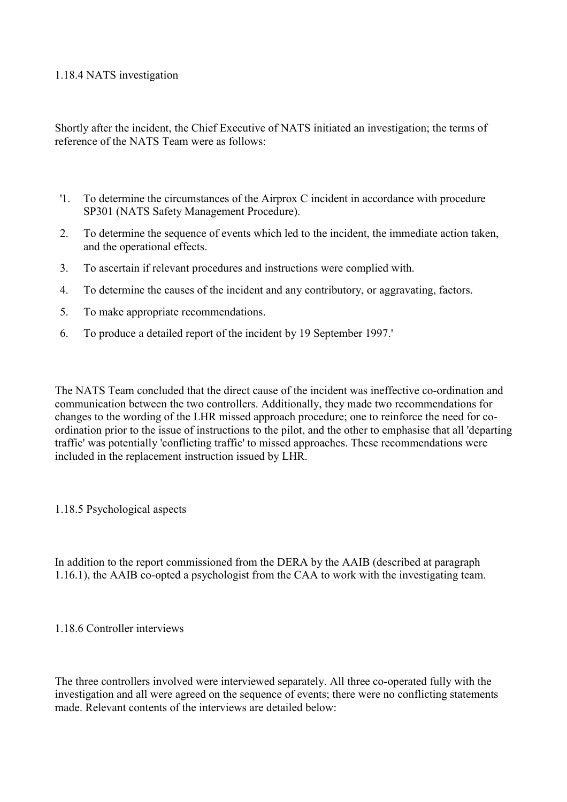#### 1.18.4 NATS investigation

Shortly after the incident, the Chief Executive of NATS initiated an investigation; the terms of reference of the NATS Team were as follows:

- '1. To determine the circumstances of the Airprox C incident in accordance with procedure SP301 (NATS Safety Management Procedure).
- 2. To determine the sequence of events which led to the incident, the immediate action taken, and the operational effects.
- 3. To ascertain if relevant procedures and instructions were complied with.
- 4. To determine the causes of the incident and any contributory, or aggravating, factors.
- 5. To make appropriate recommendations.
- 6. To produce a detailed report of the incident by 19 September 1997.'

The NATS Team concluded that the direct cause of the incident was ineffective co-ordination and communication between the two controllers. Additionally, they made two recommendations for changes to the wording of the LHR missed approach procedure; one to reinforce the need for coordination prior to the issue of instructions to the pilot, and the other to emphasise that all 'departing traffic' was potentially 'conflicting traffic' to missed approaches. These recommendations were included in the replacement instruction issued by LHR.

#### 1.18.5 Psychological aspects

In addition to the report commissioned from the DERA by the AAIB (described at paragraph 1.16.1), the AAIB co-opted a psychologist from the CAA to work with the investigating team.

1.18.6 Controller interviews

The three controllers involved were interviewed separately. All three co-operated fully with the investigation and all were agreed on the sequence of events; there were no conflicting statements made. Relevant contents of the interviews are detailed below: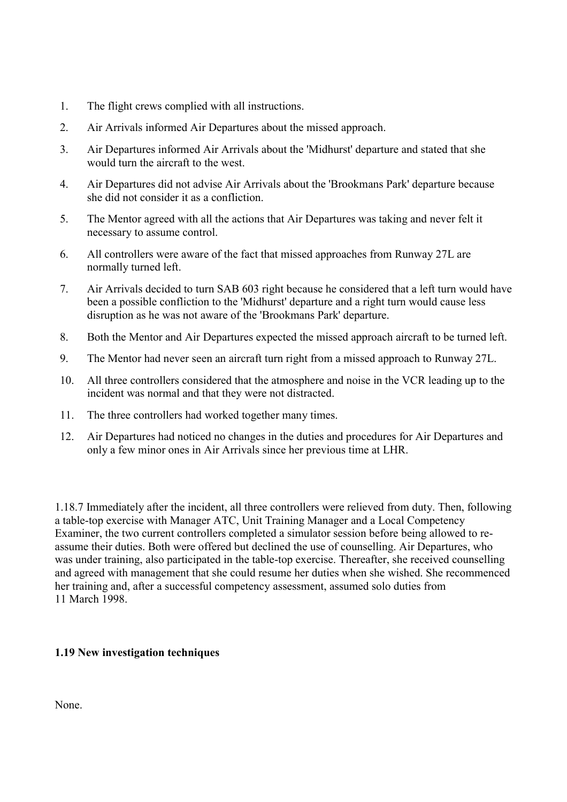- <span id="page-19-0"></span>1. The flight crews complied with all instructions.
- 2. Air Arrivals informed Air Departures about the missed approach.
- 3. Air Departures informed Air Arrivals about the 'Midhurst' departure and stated that she would turn the aircraft to the west.
- 4. Air Departures did not advise Air Arrivals about the 'Brookmans Park' departure because she did not consider it as a confliction.
- 5. The Mentor agreed with all the actions that Air Departures was taking and never felt it necessary to assume control.
- 6. All controllers were aware of the fact that missed approaches from Runway 27L are normally turned left.
- 7. Air Arrivals decided to turn SAB 603 right because he considered that a left turn would have been a possible confliction to the 'Midhurst' departure and a right turn would cause less disruption as he was not aware of the 'Brookmans Park' departure.
- 8. Both the Mentor and Air Departures expected the missed approach aircraft to be turned left.
- 9. The Mentor had never seen an aircraft turn right from a missed approach to Runway 27L.
- 10. All three controllers considered that the atmosphere and noise in the VCR leading up to the incident was normal and that they were not distracted.
- 11. The three controllers had worked together many times.
- 12. Air Departures had noticed no changes in the duties and procedures for Air Departures and only a few minor ones in Air Arrivals since her previous time at LHR.

1.18.7 Immediately after the incident, all three controllers were relieved from duty. Then, following a table-top exercise with Manager ATC, Unit Training Manager and a Local Competency Examiner, the two current controllers completed a simulator session before being allowed to reassume their duties. Both were offered but declined the use of counselling. Air Departures, who was under training, also participated in the table-top exercise. Thereafter, she received counselling and agreed with management that she could resume her duties when she wished. She recommenced her training and, after a successful competency assessment, assumed solo duties from 11 March 1998.

# **1.19 New investigation techniques**

None.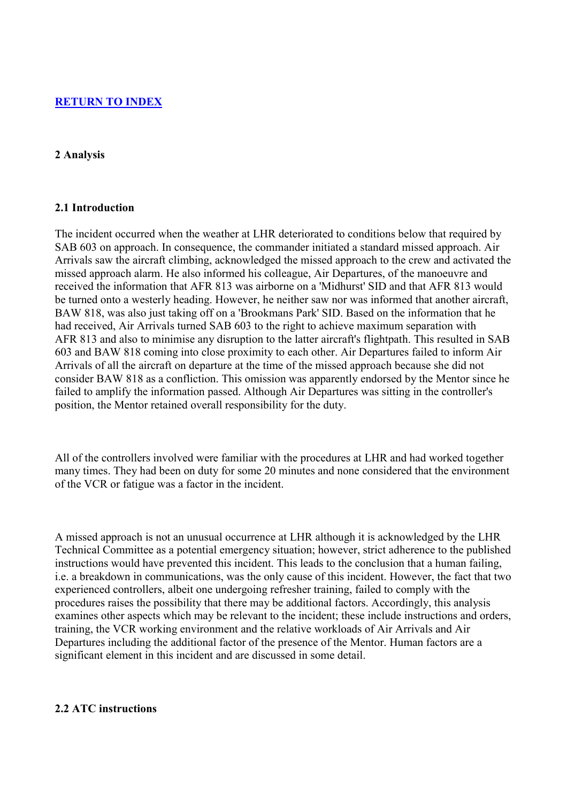#### <span id="page-20-0"></span>**RETURN TO INDEX**

#### **2 Analysis**

#### **2.1 Introduction**

The incident occurred when the weather at LHR deteriorated to conditions below that required by SAB 603 on approach. In consequence, the commander initiated a standard missed approach. Air Arrivals saw the aircraft climbing, acknowledged the missed approach to the crew and activated the missed approach alarm. He also informed his colleague, Air Departures, of the manoeuvre and received the information that AFR 813 was airborne on a 'Midhurst' SID and that AFR 813 would be turned onto a westerly heading. However, he neither saw nor was informed that another aircraft, BAW 818, was also just taking off on a 'Brookmans Park' SID. Based on the information that he had received, Air Arrivals turned SAB 603 to the right to achieve maximum separation with AFR 813 and also to minimise any disruption to the latter aircraft's flightpath. This resulted in SAB 603 and BAW 818 coming into close proximity to each other. Air Departures failed to inform Air Arrivals of all the aircraft on departure at the time of the missed approach because she did not consider BAW 818 as a confliction. This omission was apparently endorsed by the Mentor since he failed to amplify the information passed. Although Air Departures was sitting in the controller's position, the Mentor retained overall responsibility for the duty.

All of the controllers involved were familiar with the procedures at LHR and had worked together many times. They had been on duty for some 20 minutes and none considered that the environment of the VCR or fatigue was a factor in the incident.

A missed approach is not an unusual occurrence at LHR although it is acknowledged by the LHR Technical Committee as a potential emergency situation; however, strict adherence to the published instructions would have prevented this incident. This leads to the conclusion that a human failing, i.e. a breakdown in communications, was the only cause of this incident. However, the fact that two experienced controllers, albeit one undergoing refresher training, failed to comply with the procedures raises the possibility that there may be additional factors. Accordingly, this analysis examines other aspects which may be relevant to the incident; these include instructions and orders, training, the VCR working environment and the relative workloads of Air Arrivals and Air Departures including the additional factor of the presence of the Mentor. Human factors are a significant element in this incident and are discussed in some detail.

#### **2.2 ATC instructions**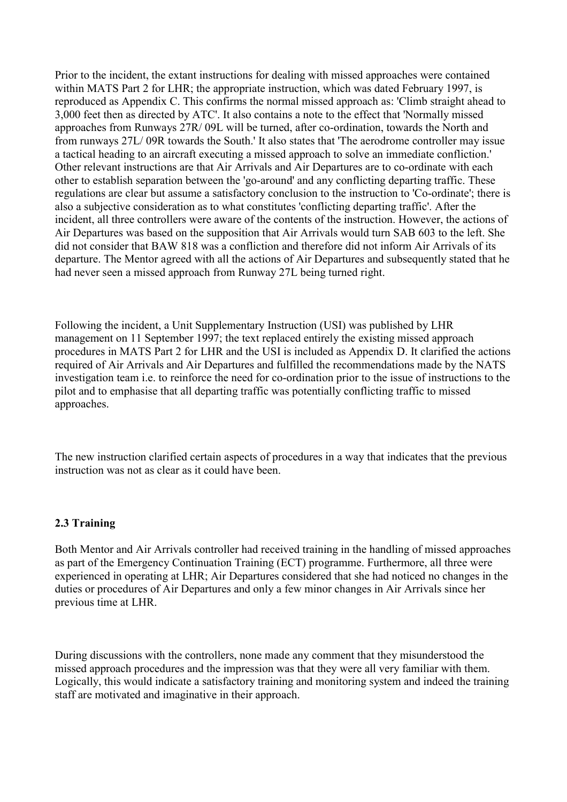<span id="page-21-0"></span>Prior to the incident, the extant instructions for dealing with missed approaches were contained within MATS Part 2 for LHR; the appropriate instruction, which was dated February 1997, is reproduced as Appendix C. This confirms the normal missed approach as: 'Climb straight ahead to 3,000 feet then as directed by ATC'. It also contains a note to the effect that 'Normally missed approaches from Runways 27R/ 09L will be turned, after co-ordination, towards the North and from runways 27L/ 09R towards the South.' It also states that 'The aerodrome controller may issue a tactical heading to an aircraft executing a missed approach to solve an immediate confliction.' Other relevant instructions are that Air Arrivals and Air Departures are to co-ordinate with each other to establish separation between the 'go-around' and any conflicting departing traffic. These regulations are clear but assume a satisfactory conclusion to the instruction to 'Co-ordinate'; there is also a subjective consideration as to what constitutes 'conflicting departing traffic'. After the incident, all three controllers were aware of the contents of the instruction. However, the actions of Air Departures was based on the supposition that Air Arrivals would turn SAB 603 to the left. She did not consider that BAW 818 was a confliction and therefore did not inform Air Arrivals of its departure. The Mentor agreed with all the actions of Air Departures and subsequently stated that he had never seen a missed approach from Runway 27L being turned right.

Following the incident, a Unit Supplementary Instruction (USI) was published by LHR management on 11 September 1997; the text replaced entirely the existing missed approach procedures in MATS Part 2 for LHR and the USI is included as Appendix D. It clarified the actions required of Air Arrivals and Air Departures and fulfilled the recommendations made by the NATS investigation team i.e. to reinforce the need for co-ordination prior to the issue of instructions to the pilot and to emphasise that all departing traffic was potentially conflicting traffic to missed approaches.

The new instruction clarified certain aspects of procedures in a way that indicates that the previous instruction was not as clear as it could have been.

# **2.3 Training**

Both Mentor and Air Arrivals controller had received training in the handling of missed approaches as part of the Emergency Continuation Training (ECT) programme. Furthermore, all three were experienced in operating at LHR; Air Departures considered that she had noticed no changes in the duties or procedures of Air Departures and only a few minor changes in Air Arrivals since her previous time at LHR.

During discussions with the controllers, none made any comment that they misunderstood the missed approach procedures and the impression was that they were all very familiar with them. Logically, this would indicate a satisfactory training and monitoring system and indeed the training staff are motivated and imaginative in their approach.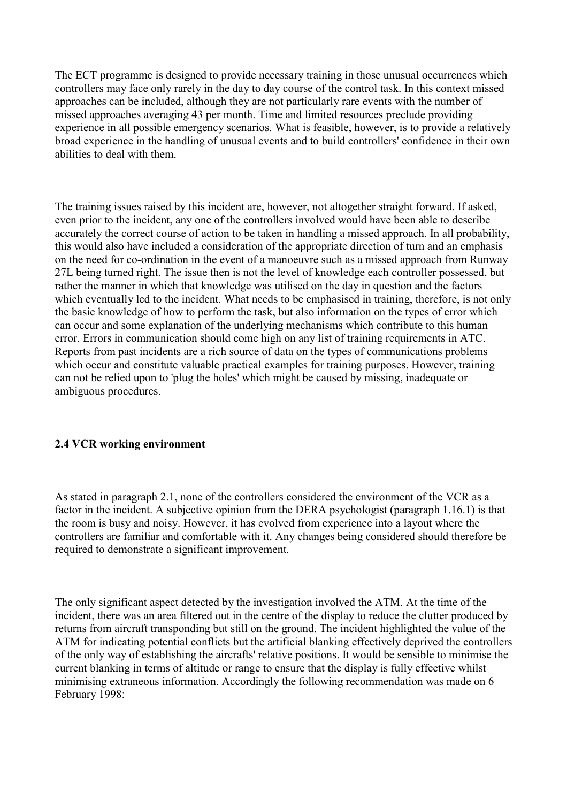The ECT programme is designed to provide necessary training in those unusual occurrences which controllers may face only rarely in the day to day course of the control task. In this context missed approaches can be included, although they are not particularly rare events with the number of missed approaches averaging 43 per month. Time and limited resources preclude providing experience in all possible emergency scenarios. What is feasible, however, is to provide a relatively broad experience in the handling of unusual events and to build controllers' confidence in their own abilities to deal with them.

The training issues raised by this incident are, however, not altogether straight forward. If asked, even prior to the incident, any one of the controllers involved would have been able to describe accurately the correct course of action to be taken in handling a missed approach. In all probability, this would also have included a consideration of the appropriate direction of turn and an emphasis on the need for co-ordination in the event of a manoeuvre such as a missed approach from Runway 27L being turned right. The issue then is not the level of knowledge each controller possessed, but rather the manner in which that knowledge was utilised on the day in question and the factors which eventually led to the incident. What needs to be emphasised in training, therefore, is not only the basic knowledge of how to perform the task, but also information on the types of error which can occur and some explanation of the underlying mechanisms which contribute to this human error. Errors in communication should come high on any list of training requirements in ATC. Reports from past incidents are a rich source of data on the types of communications problems which occur and constitute valuable practical examples for training purposes. However, training can not be relied upon to 'plug the holes' which might be caused by missing, inadequate or ambiguous procedures.

# **2.4 VCR working environment**

As stated in paragraph 2.1, none of the controllers considered the environment of the VCR as a factor in the incident. A subjective opinion from the DERA psychologist (paragraph 1.16.1) is that the room is busy and noisy. However, it has evolved from experience into a layout where the controllers are familiar and comfortable with it. Any changes being considered should therefore be required to demonstrate a significant improvement.

The only significant aspect detected by the investigation involved the ATM. At the time of the incident, there was an area filtered out in the centre of the display to reduce the clutter produced by returns from aircraft transponding but still on the ground. The incident highlighted the value of the ATM for indicating potential conflicts but the artificial blanking effectively deprived the controllers of the only way of establishing the aircrafts' relative positions. It would be sensible to minimise the current blanking in terms of altitude or range to ensure that the display is fully effective whilst minimising extraneous information. Accordingly the following recommendation was made on 6 February 1998: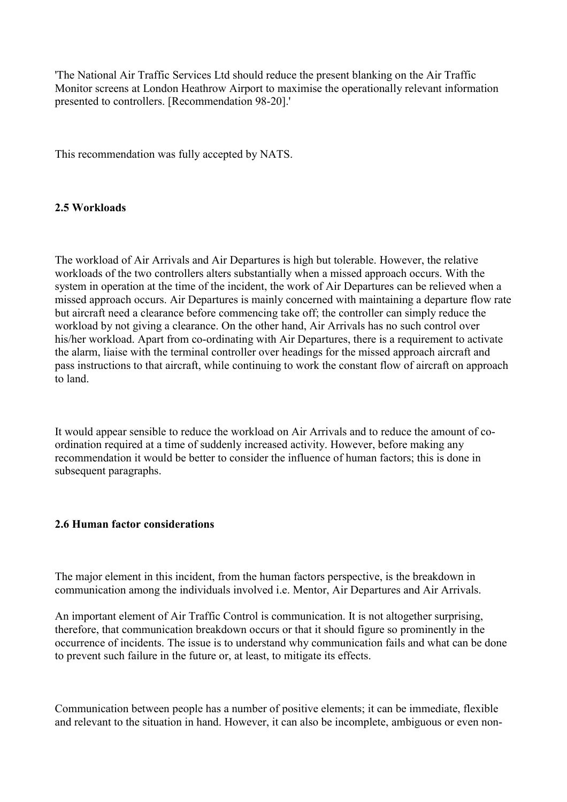<span id="page-23-0"></span>'The National Air Traffic Services Ltd should reduce the present blanking on the Air Traffic Monitor screens at London Heathrow Airport to maximise the operationally relevant information presented to controllers. [Recommendation 98-20].'

This recommendation was fully accepted by NATS.

## **2.5 Workloads**

The workload of Air Arrivals and Air Departures is high but tolerable. However, the relative workloads of the two controllers alters substantially when a missed approach occurs. With the system in operation at the time of the incident, the work of Air Departures can be relieved when a missed approach occurs. Air Departures is mainly concerned with maintaining a departure flow rate but aircraft need a clearance before commencing take off; the controller can simply reduce the workload by not giving a clearance. On the other hand, Air Arrivals has no such control over his/her workload. Apart from co-ordinating with Air Departures, there is a requirement to activate the alarm, liaise with the terminal controller over headings for the missed approach aircraft and pass instructions to that aircraft, while continuing to work the constant flow of aircraft on approach to land.

It would appear sensible to reduce the workload on Air Arrivals and to reduce the amount of coordination required at a time of suddenly increased activity. However, before making any recommendation it would be better to consider the influence of human factors; this is done in subsequent paragraphs.

#### **2.6 Human factor considerations**

The major element in this incident, from the human factors perspective, is the breakdown in communication among the individuals involved i.e. Mentor, Air Departures and Air Arrivals.

An important element of Air Traffic Control is communication. It is not altogether surprising, therefore, that communication breakdown occurs or that it should figure so prominently in the occurrence of incidents. The issue is to understand why communication fails and what can be done to prevent such failure in the future or, at least, to mitigate its effects.

Communication between people has a number of positive elements; it can be immediate, flexible and relevant to the situation in hand. However, it can also be incomplete, ambiguous or even non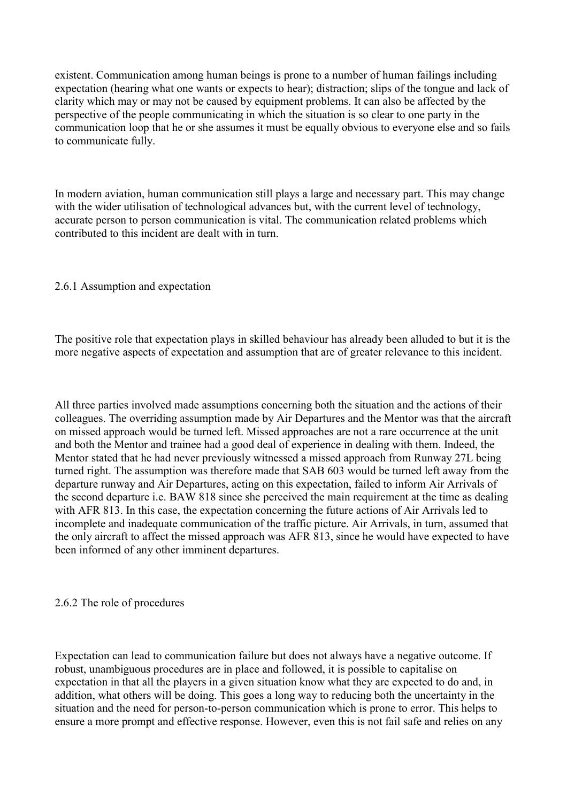existent. Communication among human beings is prone to a number of human failings including expectation (hearing what one wants or expects to hear); distraction; slips of the tongue and lack of clarity which may or may not be caused by equipment problems. It can also be affected by the perspective of the people communicating in which the situation is so clear to one party in the communication loop that he or she assumes it must be equally obvious to everyone else and so fails to communicate fully.

In modern aviation, human communication still plays a large and necessary part. This may change with the wider utilisation of technological advances but, with the current level of technology, accurate person to person communication is vital. The communication related problems which contributed to this incident are dealt with in turn.

# 2.6.1 Assumption and expectation

The positive role that expectation plays in skilled behaviour has already been alluded to but it is the more negative aspects of expectation and assumption that are of greater relevance to this incident.

All three parties involved made assumptions concerning both the situation and the actions of their colleagues. The overriding assumption made by Air Departures and the Mentor was that the aircraft on missed approach would be turned left. Missed approaches are not a rare occurrence at the unit and both the Mentor and trainee had a good deal of experience in dealing with them. Indeed, the Mentor stated that he had never previously witnessed a missed approach from Runway 27L being turned right. The assumption was therefore made that SAB 603 would be turned left away from the departure runway and Air Departures, acting on this expectation, failed to inform Air Arrivals of the second departure i.e. BAW 818 since she perceived the main requirement at the time as dealing with AFR 813. In this case, the expectation concerning the future actions of Air Arrivals led to incomplete and inadequate communication of the traffic picture. Air Arrivals, in turn, assumed that the only aircraft to affect the missed approach was AFR 813, since he would have expected to have been informed of any other imminent departures.

#### 2.6.2 The role of procedures

Expectation can lead to communication failure but does not always have a negative outcome. If robust, unambiguous procedures are in place and followed, it is possible to capitalise on expectation in that all the players in a given situation know what they are expected to do and, in addition, what others will be doing. This goes a long way to reducing both the uncertainty in the situation and the need for person-to-person communication which is prone to error. This helps to ensure a more prompt and effective response. However, even this is not fail safe and relies on any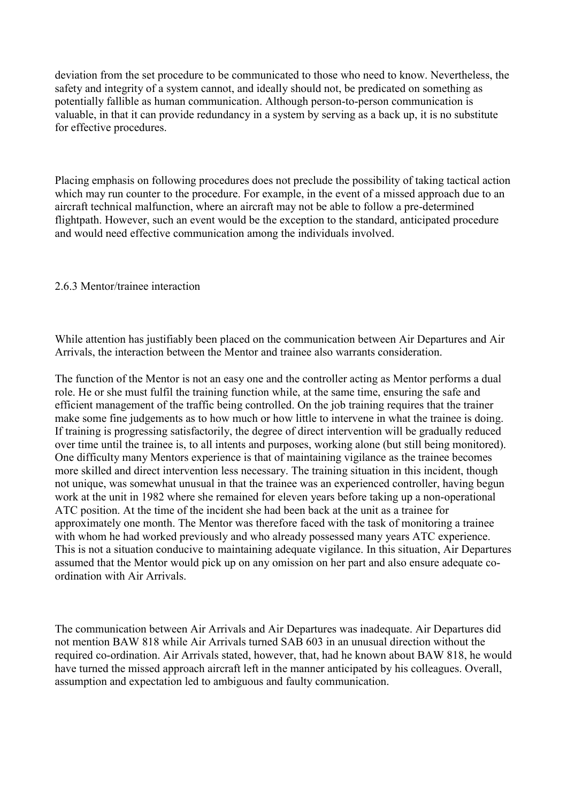deviation from the set procedure to be communicated to those who need to know. Nevertheless, the safety and integrity of a system cannot, and ideally should not, be predicated on something as potentially fallible as human communication. Although person-to-person communication is valuable, in that it can provide redundancy in a system by serving as a back up, it is no substitute for effective procedures.

Placing emphasis on following procedures does not preclude the possibility of taking tactical action which may run counter to the procedure. For example, in the event of a missed approach due to an aircraft technical malfunction, where an aircraft may not be able to follow a pre-determined flightpath. However, such an event would be the exception to the standard, anticipated procedure and would need effective communication among the individuals involved.

## 2.6.3 Mentor/trainee interaction

While attention has justifiably been placed on the communication between Air Departures and Air Arrivals, the interaction between the Mentor and trainee also warrants consideration.

The function of the Mentor is not an easy one and the controller acting as Mentor performs a dual role. He or she must fulfil the training function while, at the same time, ensuring the safe and efficient management of the traffic being controlled. On the job training requires that the trainer make some fine judgements as to how much or how little to intervene in what the trainee is doing. If training is progressing satisfactorily, the degree of direct intervention will be gradually reduced over time until the trainee is, to all intents and purposes, working alone (but still being monitored). One difficulty many Mentors experience is that of maintaining vigilance as the trainee becomes more skilled and direct intervention less necessary. The training situation in this incident, though not unique, was somewhat unusual in that the trainee was an experienced controller, having begun work at the unit in 1982 where she remained for eleven years before taking up a non-operational ATC position. At the time of the incident she had been back at the unit as a trainee for approximately one month. The Mentor was therefore faced with the task of monitoring a trainee with whom he had worked previously and who already possessed many years ATC experience. This is not a situation conducive to maintaining adequate vigilance. In this situation, Air Departures assumed that the Mentor would pick up on any omission on her part and also ensure adequate coordination with Air Arrivals.

The communication between Air Arrivals and Air Departures was inadequate. Air Departures did not mention BAW 818 while Air Arrivals turned SAB 603 in an unusual direction without the required co-ordination. Air Arrivals stated, however, that, had he known about BAW 818, he would have turned the missed approach aircraft left in the manner anticipated by his colleagues. Overall, assumption and expectation led to ambiguous and faulty communication.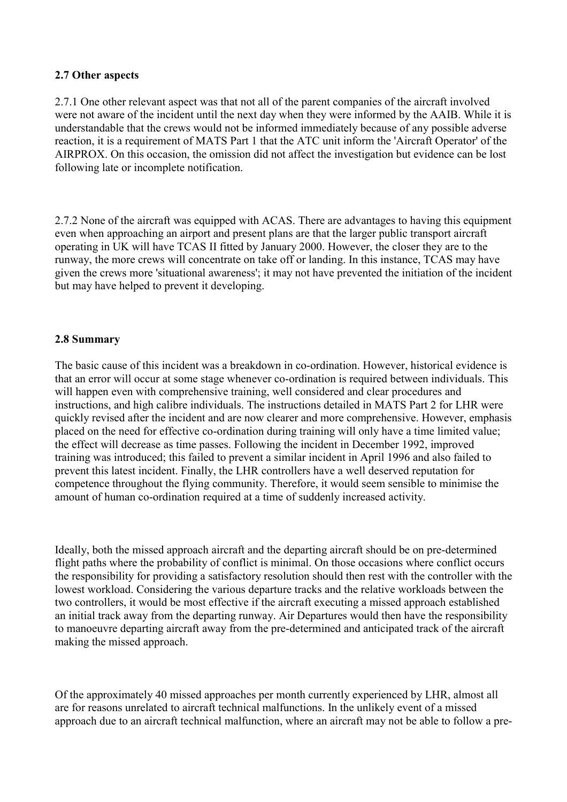## <span id="page-26-0"></span>**2.7 Other aspects**

2.7.1 One other relevant aspect was that not all of the parent companies of the aircraft involved were not aware of the incident until the next day when they were informed by the AAIB. While it is understandable that the crews would not be informed immediately because of any possible adverse reaction, it is a requirement of MATS Part 1 that the ATC unit inform the 'Aircraft Operator' of the AIRPROX. On this occasion, the omission did not affect the investigation but evidence can be lost following late or incomplete notification.

2.7.2 None of the aircraft was equipped with ACAS. There are advantages to having this equipment even when approaching an airport and present plans are that the larger public transport aircraft operating in UK will have TCAS II fitted by January 2000. However, the closer they are to the runway, the more crews will concentrate on take off or landing. In this instance, TCAS may have given the crews more 'situational awareness'; it may not have prevented the initiation of the incident but may have helped to prevent it developing.

## **2.8 Summary**

The basic cause of this incident was a breakdown in co-ordination. However, historical evidence is that an error will occur at some stage whenever co-ordination is required between individuals. This will happen even with comprehensive training, well considered and clear procedures and instructions, and high calibre individuals. The instructions detailed in MATS Part 2 for LHR were quickly revised after the incident and are now clearer and more comprehensive. However, emphasis placed on the need for effective co-ordination during training will only have a time limited value; the effect will decrease as time passes. Following the incident in December 1992, improved training was introduced; this failed to prevent a similar incident in April 1996 and also failed to prevent this latest incident. Finally, the LHR controllers have a well deserved reputation for competence throughout the flying community. Therefore, it would seem sensible to minimise the amount of human co-ordination required at a time of suddenly increased activity.

Ideally, both the missed approach aircraft and the departing aircraft should be on pre-determined flight paths where the probability of conflict is minimal. On those occasions where conflict occurs the responsibility for providing a satisfactory resolution should then rest with the controller with the lowest workload. Considering the various departure tracks and the relative workloads between the two controllers, it would be most effective if the aircraft executing a missed approach established an initial track away from the departing runway. Air Departures would then have the responsibility to manoeuvre departing aircraft away from the pre-determined and anticipated track of the aircraft making the missed approach.

Of the approximately 40 missed approaches per month currently experienced by LHR, almost all are for reasons unrelated to aircraft technical malfunctions. In the unlikely event of a missed approach due to an aircraft technical malfunction, where an aircraft may not be able to follow a pre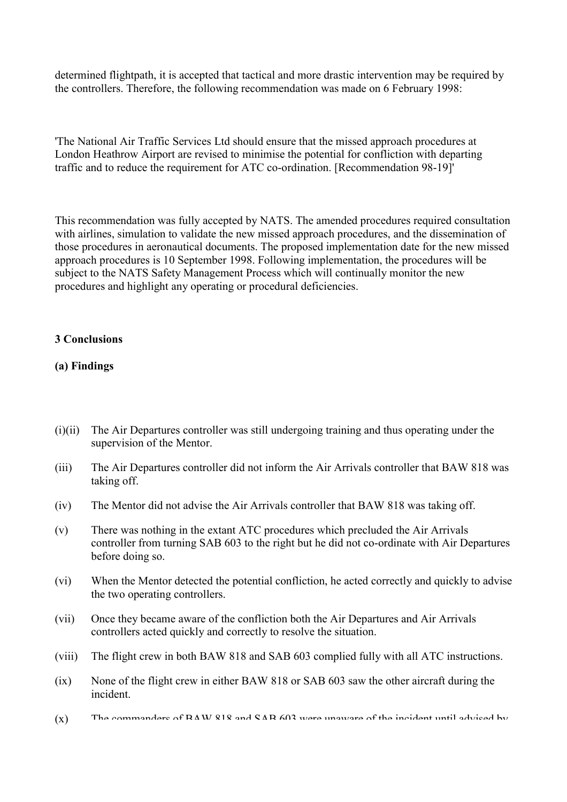determined flightpath, it is accepted that tactical and more drastic intervention may be required by the controllers. Therefore, the following recommendation was made on 6 February 1998:

'The National Air Traffic Services Ltd should ensure that the missed approach procedures at London Heathrow Airport are revised to minimise the potential for confliction with departing traffic and to reduce the requirement for ATC co-ordination. [Recommendation 98-19]'

This recommendation was fully accepted by NATS. The amended procedures required consultation with airlines, simulation to validate the new missed approach procedures, and the dissemination of those procedures in aeronautical documents. The proposed implementation date for the new missed approach procedures is 10 September 1998. Following implementation, the procedures will be subject to the NATS Safety Management Process which will continually monitor the new procedures and highlight any operating or procedural deficiencies.

## **3 Conclusions**

## **(a) Findings**

- (i)(ii) The Air Departures controller was still undergoing training and thus operating under the supervision of the Mentor.
- (iii) The Air Departures controller did not inform the Air Arrivals controller that BAW 818 was taking off.
- (iv) The Mentor did not advise the Air Arrivals controller that BAW 818 was taking off.
- (v) There was nothing in the extant ATC procedures which precluded the Air Arrivals controller from turning SAB 603 to the right but he did not co-ordinate with Air Departures before doing so.
- (vi) When the Mentor detected the potential confliction, he acted correctly and quickly to advise the two operating controllers.
- (vii) Once they became aware of the confliction both the Air Departures and Air Arrivals controllers acted quickly and correctly to resolve the situation.
- (viii) The flight crew in both BAW 818 and SAB 603 complied fully with all ATC instructions.
- (ix) None of the flight crew in either BAW 818 or SAB 603 saw the other aircraft during the incident.
- $(x)$  The commanders of  $RAM$  818 and  $SAR$  603 were unaware of the incident until advised by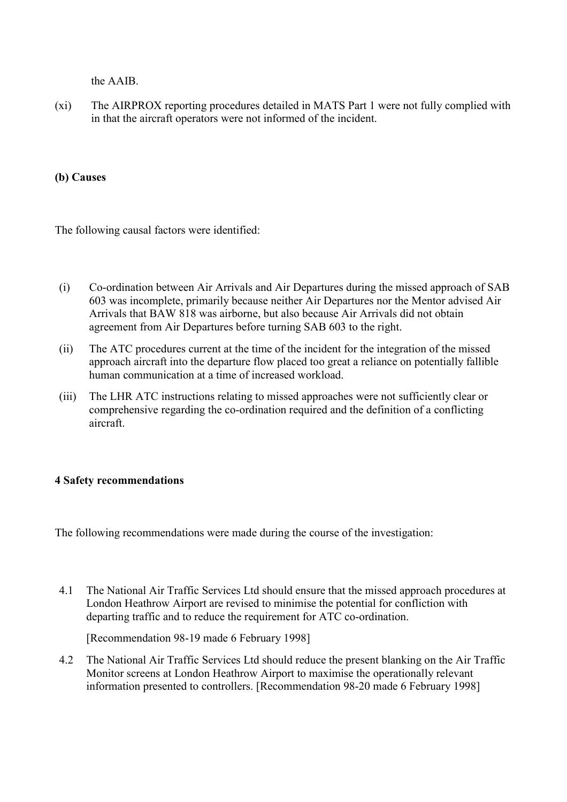the AAIB.

<span id="page-28-0"></span>(xi) The AIRPROX reporting procedures detailed in MATS Part 1 were not fully complied with in that the aircraft operators were not informed of the incident.

# **(b) Causes**

The following causal factors were identified:

- (i) Co-ordination between Air Arrivals and Air Departures during the missed approach of SAB 603 was incomplete, primarily because neither Air Departures nor the Mentor advised Air Arrivals that BAW 818 was airborne, but also because Air Arrivals did not obtain agreement from Air Departures before turning SAB 603 to the right.
- (ii) The ATC procedures current at the time of the incident for the integration of the missed approach aircraft into the departure flow placed too great a reliance on potentially fallible human communication at a time of increased workload.
- (iii) The LHR ATC instructions relating to missed approaches were not sufficiently clear or comprehensive regarding the co-ordination required and the definition of a conflicting aircraft.

# **4 Safety recommendations**

The following recommendations were made during the course of the investigation:

4.1 The National Air Traffic Services Ltd should ensure that the missed approach procedures at London Heathrow Airport are revised to minimise the potential for confliction with departing traffic and to reduce the requirement for ATC co-ordination.

[Recommendation 98-19 made 6 February 1998]

4.2 The National Air Traffic Services Ltd should reduce the present blanking on the Air Traffic Monitor screens at London Heathrow Airport to maximise the operationally relevant information presented to controllers. [Recommendation 98-20 made 6 February 1998]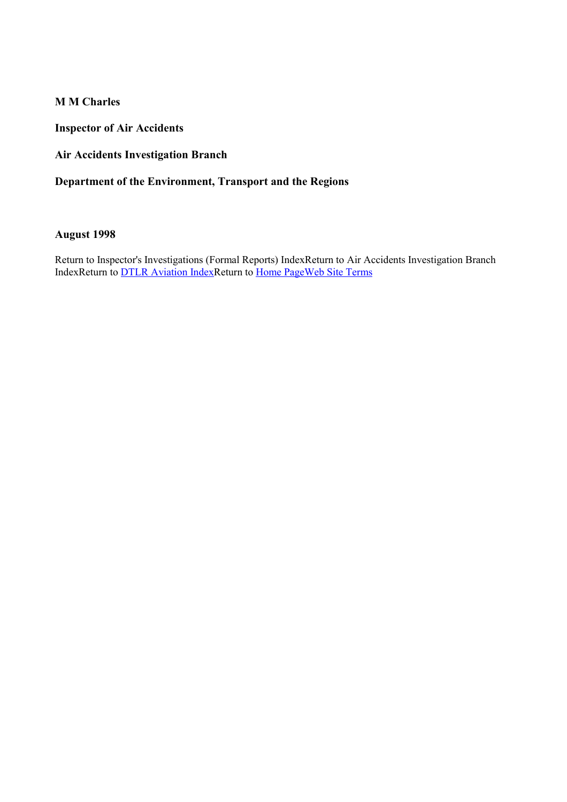**M M Charles** 

**Inspector of Air Accidents** 

**Air Accidents Investigation Branch** 

**Department of the Environment, Transport and the Regions** 

## **August 1998**

Return to Inspector's Investigations (Formal Reports) IndexReturn to Air Accidents Investigation Branch IndexReturn to [DTLR Aviation Index](http://www.aviation.dtlr.gov.uk/)Return to Home Page[Web Site Term](http://www.dft.gov.uk/wwwterms.htm)s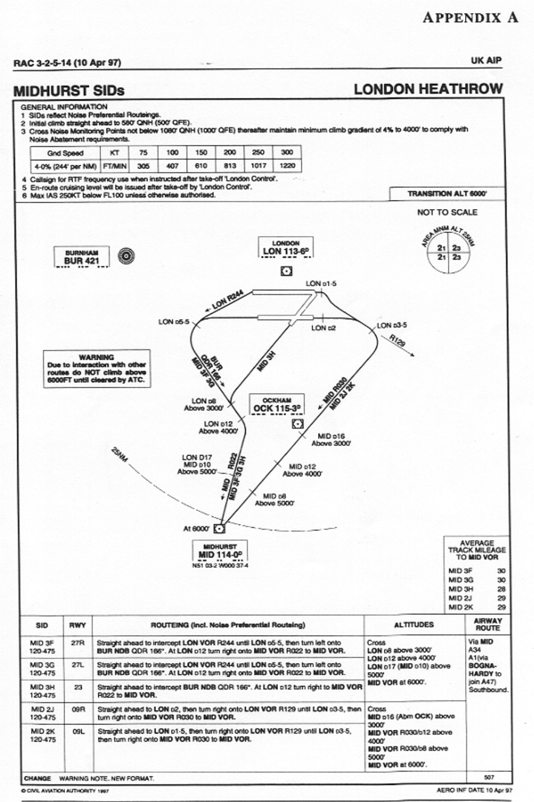# **APPENDIX A**

#### RAC 3-2-5-14 (10 Apr 97)

# **MIDHURST SIDs**

**LONDON HEATHROW** 

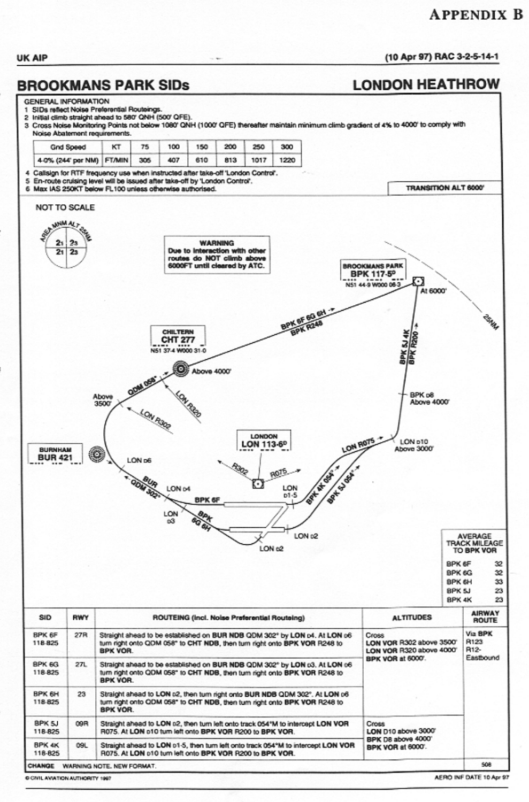# **APPENDIX B**

#### (10 Apr 97) RAC 3-2-5-14-1

**BROOKMANS PARK SIDs** 

#### **LONDON HEATHROW**

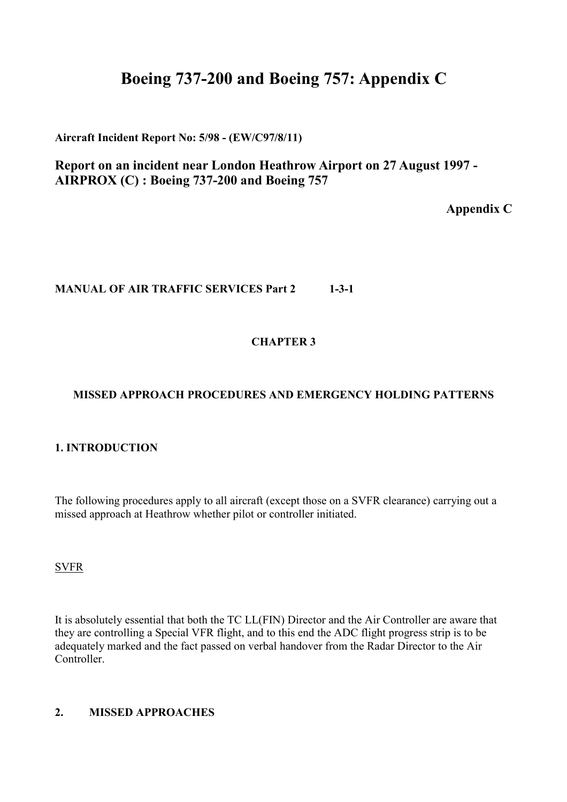# **Boeing 737-200 and Boeing 757: Appendix C**

**Aircraft Incident Report No: 5/98 - (EW/C97/8/11)**

**Report on an incident near London Heathrow Airport on 27 August 1997 - AIRPROX (C) : Boeing 737-200 and Boeing 757** 

**Appendix C** 

# **MANUAL OF AIR TRAFFIC SERVICES Part 2 1-3-1**

# **CHAPTER 3**

# **MISSED APPROACH PROCEDURES AND EMERGENCY HOLDING PATTERNS**

# **1. INTRODUCTION**

The following procedures apply to all aircraft (except those on a SVFR clearance) carrying out a missed approach at Heathrow whether pilot or controller initiated.

#### **SVFR**

It is absolutely essential that both the TC LL(FIN) Director and the Air Controller are aware that they are controlling a Special VFR flight, and to this end the ADC flight progress strip is to be adequately marked and the fact passed on verbal handover from the Radar Director to the Air Controller.

# **2. MISSED APPROACHES**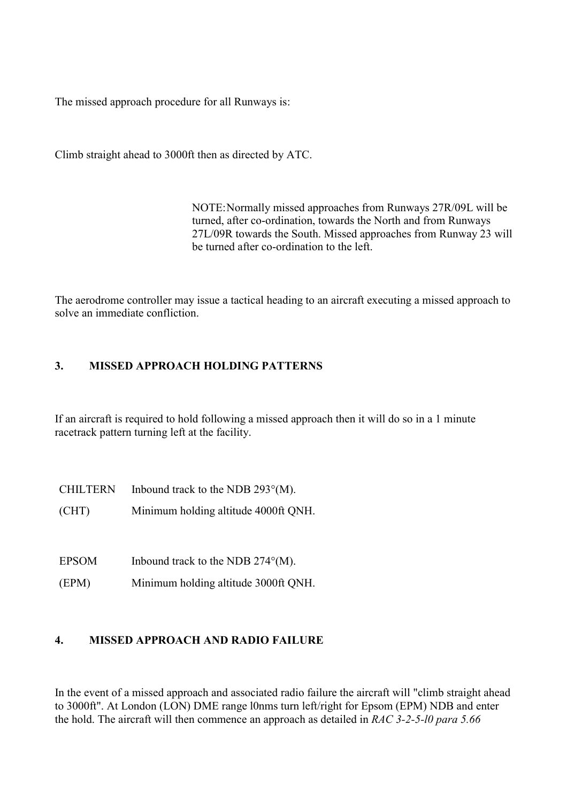The missed approach procedure for all Runways is:

Climb straight ahead to 3000ft then as directed by ATC.

NOTE: Normally missed approaches from Runways 27R/09L will be turned, after co-ordination, towards the North and from Runways 27L/09R towards the South. Missed approaches from Runway 23 will be turned after co-ordination to the left.

The aerodrome controller may issue a tactical heading to an aircraft executing a missed approach to solve an immediate confliction.

# **3. MISSED APPROACH HOLDING PATTERNS**

If an aircraft is required to hold following a missed approach then it will do so in a 1 minute racetrack pattern turning left at the facility.

| <b>CHILTERN</b> | Inbound track to the NDB $293^{\circ}$ (M). |
|-----------------|---------------------------------------------|
| (CHT)           | Minimum holding altitude 4000ft QNH.        |

EPSOM Inbound track to the NDB  $274^{\circ}$ (M).

(EPM) Minimum holding altitude 3000ft QNH.

# **4. MISSED APPROACH AND RADIO FAILURE**

In the event of a missed approach and associated radio failure the aircraft will "climb straight ahead to 3000ft". At London (LON) DME range l0nms turn left/right for Epsom (EPM) NDB and enter the hold. The aircraft will then commence an approach as detailed in *RAC 3-2-5-l0 para 5.66*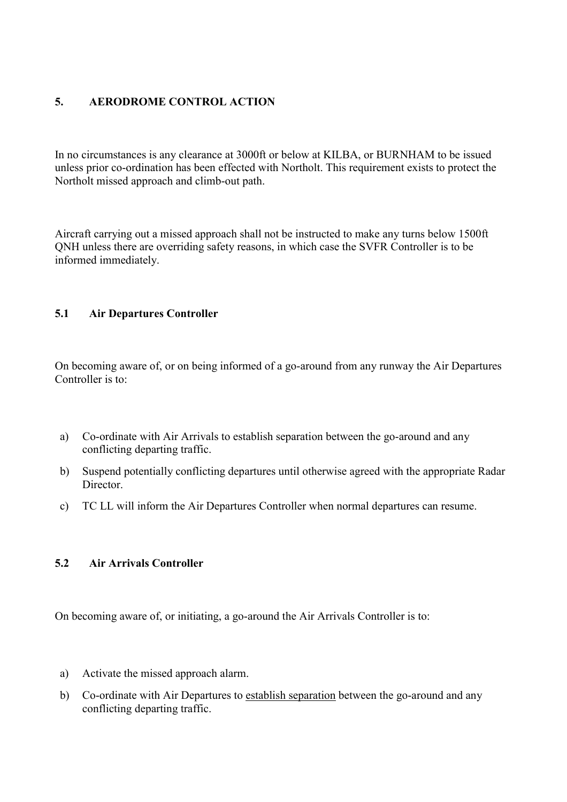# **5. AERODROME CONTROL ACTION**

In no circumstances is any clearance at 3000ft or below at KILBA, or BURNHAM to be issued unless prior co-ordination has been effected with Northolt. This requirement exists to protect the Northolt missed approach and climb-out path.

Aircraft carrying out a missed approach shall not be instructed to make any turns below 1500ft QNH unless there are overriding safety reasons, in which case the SVFR Controller is to be informed immediately.

# **5.1 Air Departures Controller**

On becoming aware of, or on being informed of a go-around from any runway the Air Departures Controller is to:

- a) Co-ordinate with Air Arrivals to establish separation between the go-around and any conflicting departing traffic.
- b) Suspend potentially conflicting departures until otherwise agreed with the appropriate Radar **Director**
- c) TC LL will inform the Air Departures Controller when normal departures can resume.

### **5.2 Air Arrivals Controller**

On becoming aware of, or initiating, a go-around the Air Arrivals Controller is to:

- a) Activate the missed approach alarm.
- b) Co-ordinate with Air Departures to establish separation between the go-around and any conflicting departing traffic.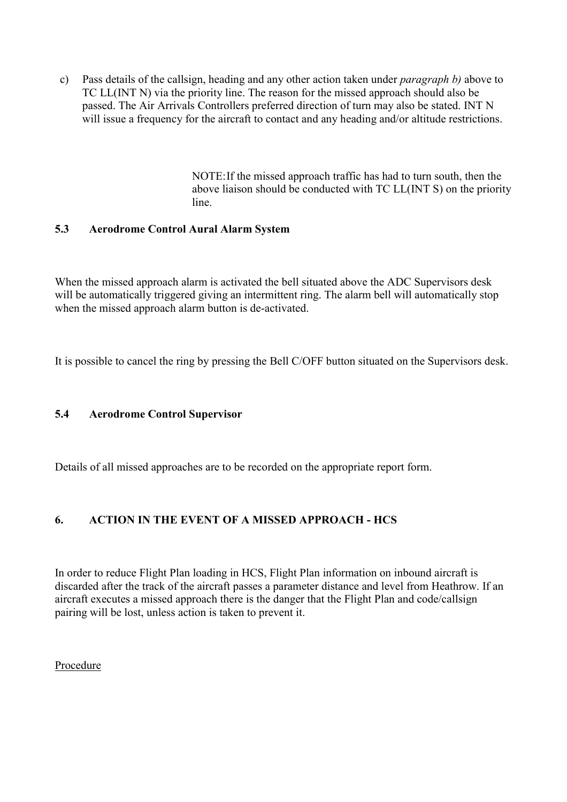c) Pass details of the callsign, heading and any other action taken under *paragraph b)* above to TC LL(INT N) via the priority line. The reason for the missed approach should also be passed. The Air Arrivals Controllers preferred direction of turn may also be stated. INT N will issue a frequency for the aircraft to contact and any heading and/or altitude restrictions.

> NOTE: If the missed approach traffic has had to turn south, then the above liaison should be conducted with TC LL(INT S) on the priority line.

# **5.3 Aerodrome Control Aural Alarm System**

When the missed approach alarm is activated the bell situated above the ADC Supervisors desk will be automatically triggered giving an intermittent ring. The alarm bell will automatically stop when the missed approach alarm button is de-activated.

It is possible to cancel the ring by pressing the Bell C/OFF button situated on the Supervisors desk.

# **5.4 Aerodrome Control Supervisor**

Details of all missed approaches are to be recorded on the appropriate report form.

# **6. ACTION IN THE EVENT OF A MISSED APPROACH - HCS**

In order to reduce Flight Plan loading in HCS, Flight Plan information on inbound aircraft is discarded after the track of the aircraft passes a parameter distance and level from Heathrow. If an aircraft executes a missed approach there is the danger that the Flight Plan and code/callsign pairing will be lost, unless action is taken to prevent it.

Procedure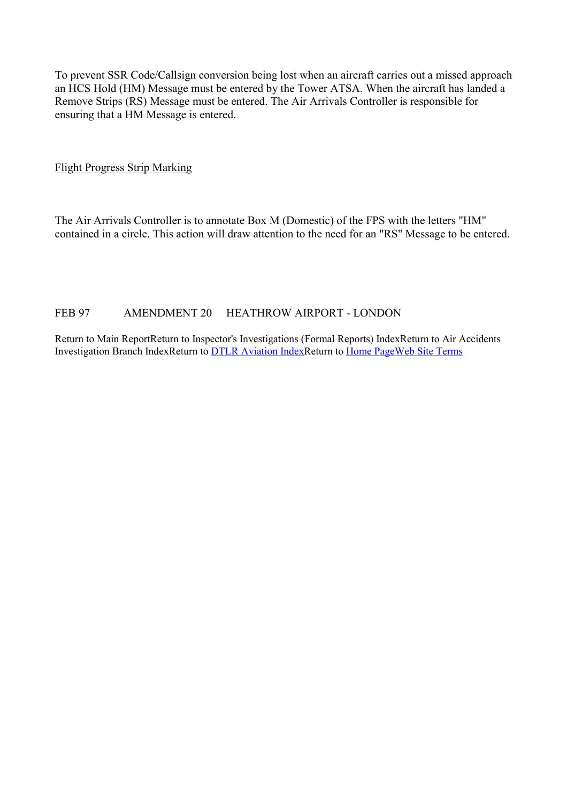To prevent SSR Code/Callsign conversion being lost when an aircraft carries out a missed approach an HCS Hold (HM) Message must be entered by the Tower ATSA. When the aircraft has landed a Remove Strips (RS) Message must be entered. The Air Arrivals Controller is responsible for ensuring that a HM Message is entered.

Flight Progress Strip Marking

The Air Arrivals Controller is to annotate Box M (Domestic) of the FPS with the letters "HM" contained in a circle. This action will draw attention to the need for an "RS" Message to be entered.

# FEB 97 AMENDMENT 20 HEATHROW AIRPORT - LONDON

Return to Main ReportReturn to Inspector's Investigations (Formal Reports) IndexReturn to Air Accidents Investigation Branch IndexReturn to [DTLR Aviation Index](http://www.aviation.dtlr.gov.uk/)Return to Home Page[Web Site Term](http://www.dft.gov.uk/wwwterms.htm)s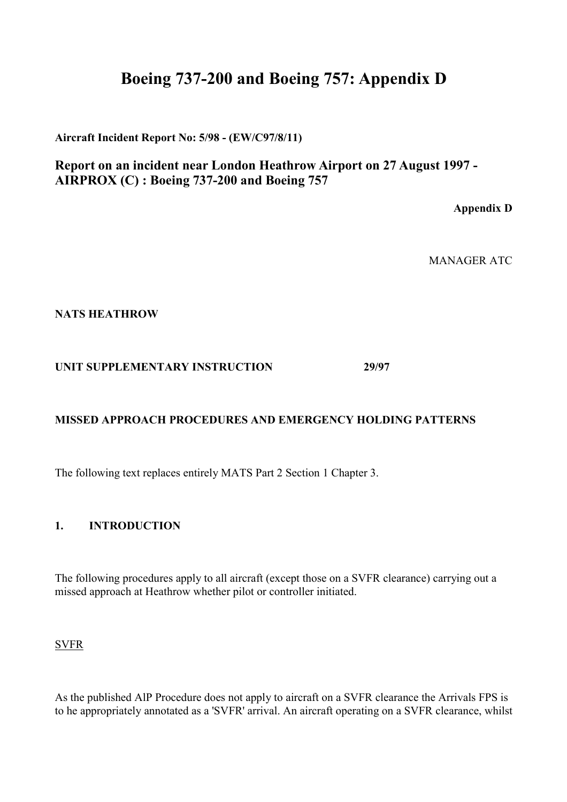# **Boeing 737-200 and Boeing 757: Appendix D**

**Aircraft Incident Report No: 5/98 - (EW/C97/8/11)**

**Report on an incident near London Heathrow Airport on 27 August 1997 - AIRPROX (C) : Boeing 737-200 and Boeing 757** 

**Appendix D** 

MANAGER ATC

**NATS HEATHROW** 

**UNIT SUPPLEMENTARY INSTRUCTION 29/97** 

# **MISSED APPROACH PROCEDURES AND EMERGENCY HOLDING PATTERNS**

The following text replaces entirely MATS Part 2 Section 1 Chapter 3.

**1. INTRODUCTION** 

The following procedures apply to all aircraft (except those on a SVFR clearance) carrying out a missed approach at Heathrow whether pilot or controller initiated.

SVFR

As the published AlP Procedure does not apply to aircraft on a SVFR clearance the Arrivals FPS is to he appropriately annotated as a 'SVFR' arrival. An aircraft operating on a SVFR clearance, whilst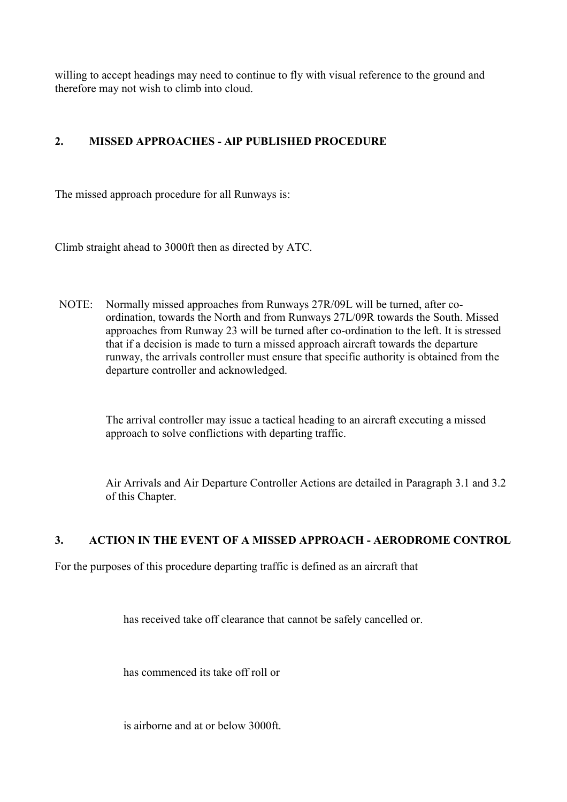willing to accept headings may need to continue to fly with visual reference to the ground and therefore may not wish to climb into cloud.

# **2. MISSED APPROACHES - AlP PUBLISHED PROCEDURE**

The missed approach procedure for all Runways is:

Climb straight ahead to 3000ft then as directed by ATC.

NOTE: Normally missed approaches from Runways 27R/09L will be turned, after coordination, towards the North and from Runways 27L/09R towards the South. Missed approaches from Runway 23 will be turned after co-ordination to the left. It is stressed that if a decision is made to turn a missed approach aircraft towards the departure runway, the arrivals controller must ensure that specific authority is obtained from the departure controller and acknowledged.

> The arrival controller may issue a tactical heading to an aircraft executing a missed approach to solve conflictions with departing traffic.

Air Arrivals and Air Departure Controller Actions are detailed in Paragraph 3.1 and 3.2 of this Chapter.

# **3. ACTION IN THE EVENT OF A MISSED APPROACH - AERODROME CONTROL**

For the purposes of this procedure departing traffic is defined as an aircraft that

has received take off clearance that cannot be safely cancelled or.

has commenced its take off roll or

is airborne and at or below 3000ft.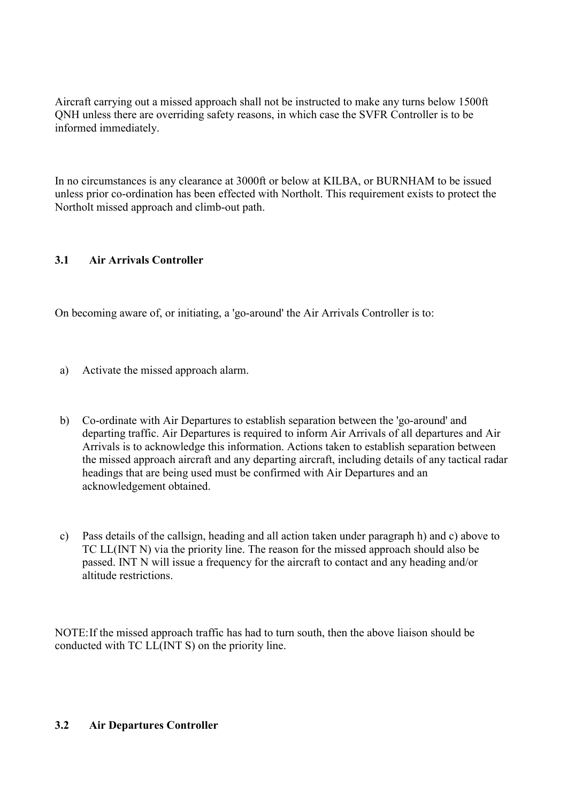Aircraft carrying out a missed approach shall not be instructed to make any turns below 1500ft QNH unless there are overriding safety reasons, in which case the SVFR Controller is to be informed immediately.

In no circumstances is any clearance at 3000ft or below at KILBA, or BURNHAM to be issued unless prior co-ordination has been effected with Northolt. This requirement exists to protect the Northolt missed approach and climb-out path.

# **3.1 Air Arrivals Controller**

On becoming aware of, or initiating, a 'go-around' the Air Arrivals Controller is to:

- a) Activate the missed approach alarm.
- b) Co-ordinate with Air Departures to establish separation between the 'go-around' and departing traffic. Air Departures is required to inform Air Arrivals of all departures and Air Arrivals is to acknowledge this information. Actions taken to establish separation between the missed approach aircraft and any departing aircraft, including details of any tactical radar headings that are being used must be confirmed with Air Departures and an acknowledgement obtained.
- c) Pass details of the callsign, heading and all action taken under paragraph h) and c) above to TC LL(INT N) via the priority line. The reason for the missed approach should also be passed. INT N will issue a frequency for the aircraft to contact and any heading and/or altitude restrictions.

NOTE: If the missed approach traffic has had to turn south, then the above liaison should be conducted with TC LL(INT S) on the priority line.

# **3.2 Air Departures Controller**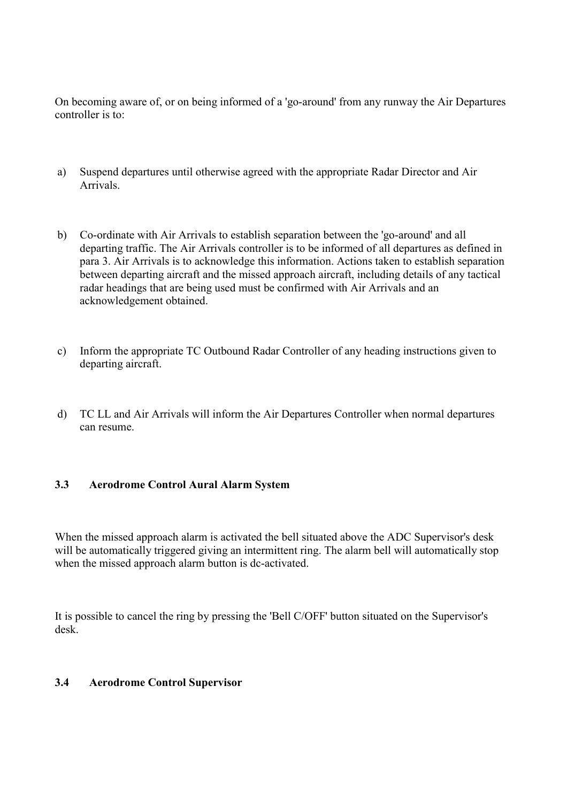On becoming aware of, or on being informed of a 'go-around' from any runway the Air Departures controller is to:

- a) Suspend departures until otherwise agreed with the appropriate Radar Director and Air Arrivals.
- b) Co-ordinate with Air Arrivals to establish separation between the 'go-around' and all departing traffic. The Air Arrivals controller is to be informed of all departures as defined in para 3. Air Arrivals is to acknowledge this information. Actions taken to establish separation between departing aircraft and the missed approach aircraft, including details of any tactical radar headings that are being used must be confirmed with Air Arrivals and an acknowledgement obtained.
- c) Inform the appropriate TC Outbound Radar Controller of any heading instructions given to departing aircraft.
- d) TC LL and Air Arrivals will inform the Air Departures Controller when normal departures can resume.

# **3.3 Aerodrome Control Aural Alarm System**

When the missed approach alarm is activated the bell situated above the ADC Supervisor's desk will be automatically triggered giving an intermittent ring. The alarm bell will automatically stop when the missed approach alarm button is dc-activated.

It is possible to cancel the ring by pressing the 'Bell C/OFF' button situated on the Supervisor's desk.

## **3.4 Aerodrome Control Supervisor**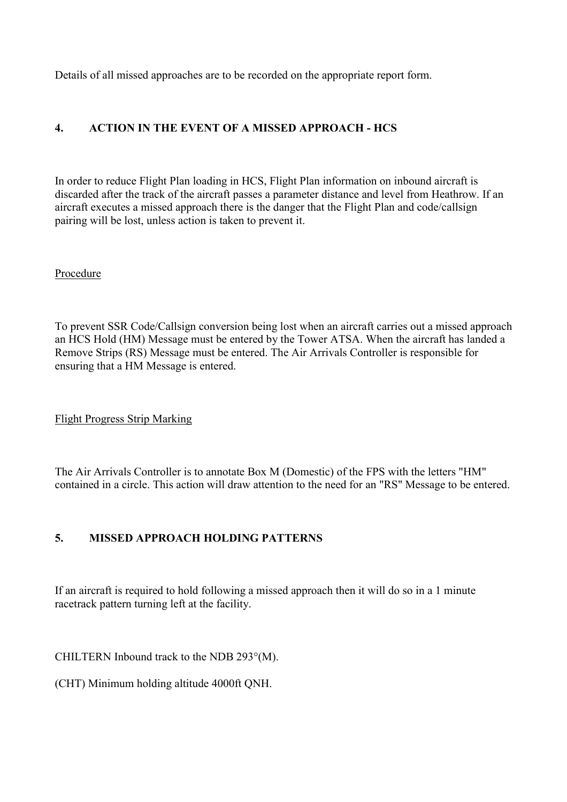Details of all missed approaches are to be recorded on the appropriate report form.

# **4. ACTION IN THE EVENT OF A MISSED APPROACH - HCS**

In order to reduce Flight Plan loading in HCS, Flight Plan information on inbound aircraft is discarded after the track of the aircraft passes a parameter distance and level from Heathrow. If an aircraft executes a missed approach there is the danger that the Flight Plan and code/callsign pairing will be lost, unless action is taken to prevent it.

Procedure

To prevent SSR Code/Callsign conversion being lost when an aircraft carries out a missed approach an HCS Hold (HM) Message must be entered by the Tower ATSA. When the aircraft has landed a Remove Strips (RS) Message must be entered. The Air Arrivals Controller is responsible for ensuring that a HM Message is entered.

Flight Progress Strip Marking

The Air Arrivals Controller is to annotate Box M (Domestic) of the FPS with the letters "HM" contained in a circle. This action will draw attention to the need for an "RS" Message to be entered.

# **5. MISSED APPROACH HOLDING PATTERNS**

If an aircraft is required to hold following a missed approach then it will do so in a 1 minute racetrack pattern turning left at the facility.

CHILTERN Inbound track to the NDB 293°(M).

(CHT) Minimum holding altitude 4000ft QNH.